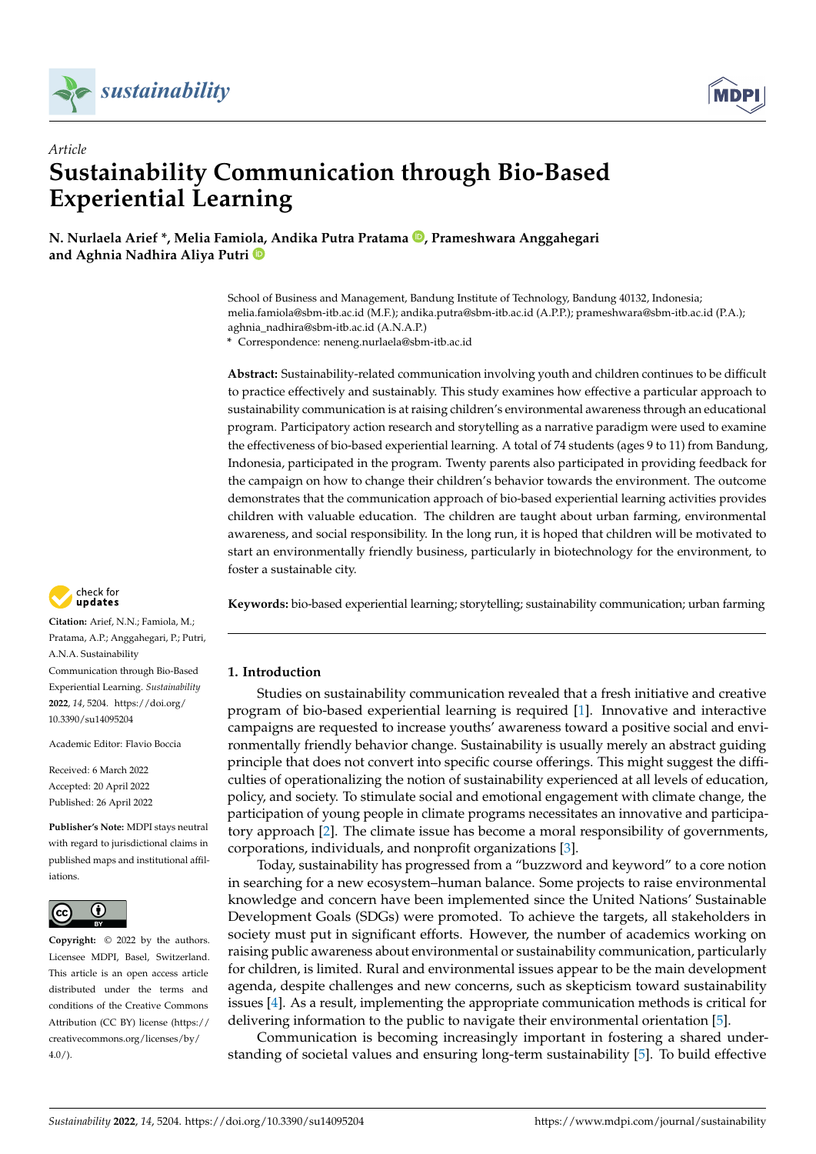



# *Article* **Sustainability Communication through Bio-Based Experiential Learning**

**N. Nurlaela Arief \*, Melia Famiola, Andika Putra Pratama [,](https://orcid.org/0000-0002-7096-613X) Prameshwara Anggahegari and Aghnia Nadhira Aliya Putri**

> School of Business and Management, Bandung Institute of Technology, Bandung 40132, Indonesia; melia.famiola@sbm-itb.ac.id (M.F.); andika.putra@sbm-itb.ac.id (A.P.P.); prameshwara@sbm-itb.ac.id (P.A.); aghnia\_nadhira@sbm-itb.ac.id (A.N.A.P.)

**\*** Correspondence: neneng.nurlaela@sbm-itb.ac.id

**Abstract:** Sustainability-related communication involving youth and children continues to be difficult to practice effectively and sustainably. This study examines how effective a particular approach to sustainability communication is at raising children's environmental awareness through an educational program. Participatory action research and storytelling as a narrative paradigm were used to examine the effectiveness of bio-based experiential learning. A total of 74 students (ages 9 to 11) from Bandung, Indonesia, participated in the program. Twenty parents also participated in providing feedback for the campaign on how to change their children's behavior towards the environment. The outcome demonstrates that the communication approach of bio-based experiential learning activities provides children with valuable education. The children are taught about urban farming, environmental awareness, and social responsibility. In the long run, it is hoped that children will be motivated to start an environmentally friendly business, particularly in biotechnology for the environment, to foster a sustainable city.

**Keywords:** bio-based experiential learning; storytelling; sustainability communication; urban farming

# **1. Introduction**

Studies on sustainability communication revealed that a fresh initiative and creative program of bio-based experiential learning is required [\[1\]](#page-14-0). Innovative and interactive campaigns are requested to increase youths' awareness toward a positive social and environmentally friendly behavior change. Sustainability is usually merely an abstract guiding principle that does not convert into specific course offerings. This might suggest the difficulties of operationalizing the notion of sustainability experienced at all levels of education, policy, and society. To stimulate social and emotional engagement with climate change, the participation of young people in climate programs necessitates an innovative and participatory approach [\[2\]](#page-14-1). The climate issue has become a moral responsibility of governments, corporations, individuals, and nonprofit organizations [\[3\]](#page-14-2).

Today, sustainability has progressed from a "buzzword and keyword" to a core notion in searching for a new ecosystem–human balance. Some projects to raise environmental knowledge and concern have been implemented since the United Nations' Sustainable Development Goals (SDGs) were promoted. To achieve the targets, all stakeholders in society must put in significant efforts. However, the number of academics working on raising public awareness about environmental or sustainability communication, particularly for children, is limited. Rural and environmental issues appear to be the main development agenda, despite challenges and new concerns, such as skepticism toward sustainability issues [\[4\]](#page-14-3). As a result, implementing the appropriate communication methods is critical for delivering information to the public to navigate their environmental orientation [\[5\]](#page-14-4).

Communication is becoming increasingly important in fostering a shared understanding of societal values and ensuring long-term sustainability [\[5\]](#page-14-4). To build effective



**Citation:** Arief, N.N.; Famiola, M.; Pratama, A.P.; Anggahegari, P.; Putri, A.N.A. Sustainability Communication through Bio-Based Experiential Learning. *Sustainability* **2022**, *14*, 5204. [https://doi.org/](https://doi.org/10.3390/su14095204) [10.3390/su14095204](https://doi.org/10.3390/su14095204)

Academic Editor: Flavio Boccia

Received: 6 March 2022 Accepted: 20 April 2022 Published: 26 April 2022

**Publisher's Note:** MDPI stays neutral with regard to jurisdictional claims in published maps and institutional affiliations.



**Copyright:** © 2022 by the authors. Licensee MDPI, Basel, Switzerland. This article is an open access article distributed under the terms and conditions of the Creative Commons Attribution (CC BY) license [\(https://](https://creativecommons.org/licenses/by/4.0/) [creativecommons.org/licenses/by/](https://creativecommons.org/licenses/by/4.0/)  $4.0/$ ).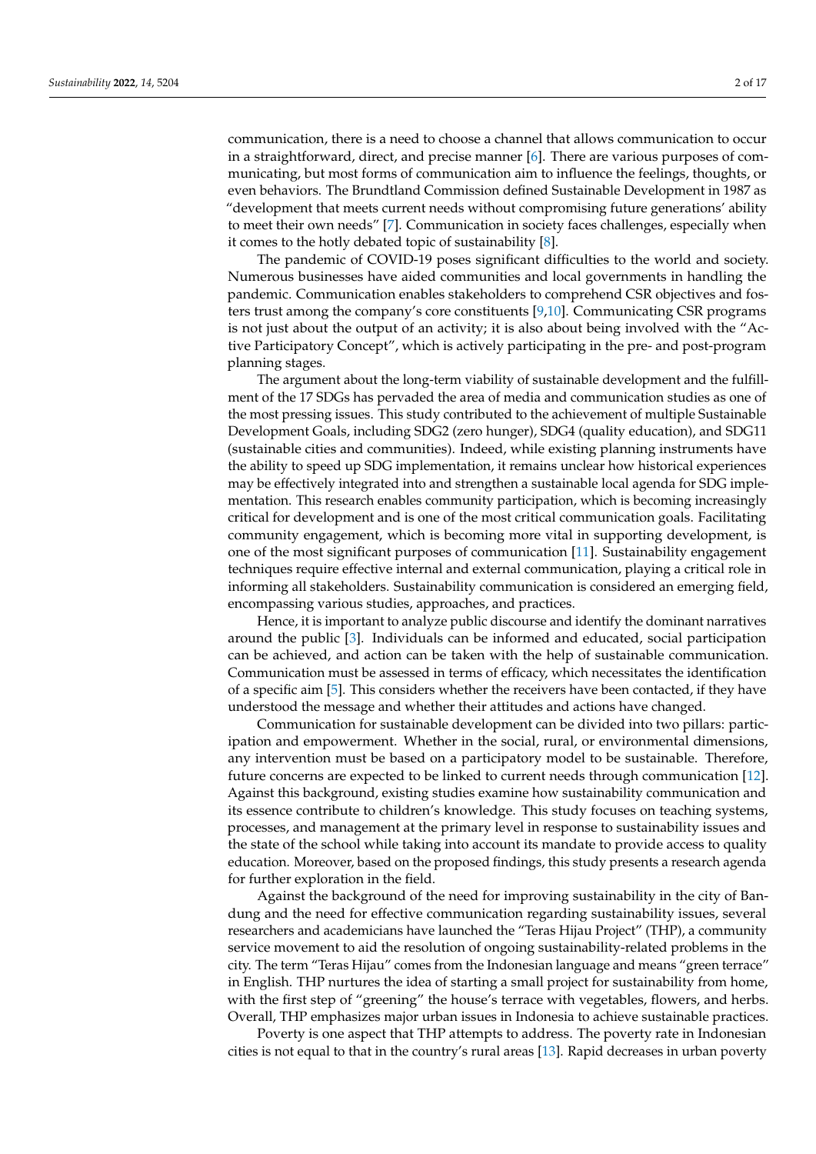communication, there is a need to choose a channel that allows communication to occur in a straightforward, direct, and precise manner [\[6\]](#page-14-5). There are various purposes of communicating, but most forms of communication aim to influence the feelings, thoughts, or even behaviors. The Brundtland Commission defined Sustainable Development in 1987 as "development that meets current needs without compromising future generations' ability to meet their own needs" [\[7\]](#page-14-6). Communication in society faces challenges, especially when it comes to the hotly debated topic of sustainability [\[8\]](#page-14-7).

The pandemic of COVID-19 poses significant difficulties to the world and society. Numerous businesses have aided communities and local governments in handling the pandemic. Communication enables stakeholders to comprehend CSR objectives and fosters trust among the company's core constituents [\[9](#page-14-8)[,10\]](#page-14-9). Communicating CSR programs is not just about the output of an activity; it is also about being involved with the "Active Participatory Concept", which is actively participating in the pre- and post-program planning stages.

The argument about the long-term viability of sustainable development and the fulfillment of the 17 SDGs has pervaded the area of media and communication studies as one of the most pressing issues. This study contributed to the achievement of multiple Sustainable Development Goals, including SDG2 (zero hunger), SDG4 (quality education), and SDG11 (sustainable cities and communities). Indeed, while existing planning instruments have the ability to speed up SDG implementation, it remains unclear how historical experiences may be effectively integrated into and strengthen a sustainable local agenda for SDG implementation. This research enables community participation, which is becoming increasingly critical for development and is one of the most critical communication goals. Facilitating community engagement, which is becoming more vital in supporting development, is one of the most significant purposes of communication [\[11\]](#page-14-10). Sustainability engagement techniques require effective internal and external communication, playing a critical role in informing all stakeholders. Sustainability communication is considered an emerging field, encompassing various studies, approaches, and practices.

Hence, it is important to analyze public discourse and identify the dominant narratives around the public [\[3\]](#page-14-2). Individuals can be informed and educated, social participation can be achieved, and action can be taken with the help of sustainable communication. Communication must be assessed in terms of efficacy, which necessitates the identification of a specific aim [\[5\]](#page-14-4). This considers whether the receivers have been contacted, if they have understood the message and whether their attitudes and actions have changed.

Communication for sustainable development can be divided into two pillars: participation and empowerment. Whether in the social, rural, or environmental dimensions, any intervention must be based on a participatory model to be sustainable. Therefore, future concerns are expected to be linked to current needs through communication [\[12\]](#page-14-11). Against this background, existing studies examine how sustainability communication and its essence contribute to children's knowledge. This study focuses on teaching systems, processes, and management at the primary level in response to sustainability issues and the state of the school while taking into account its mandate to provide access to quality education. Moreover, based on the proposed findings, this study presents a research agenda for further exploration in the field.

Against the background of the need for improving sustainability in the city of Bandung and the need for effective communication regarding sustainability issues, several researchers and academicians have launched the "Teras Hijau Project" (THP), a community service movement to aid the resolution of ongoing sustainability-related problems in the city. The term "Teras Hijau" comes from the Indonesian language and means "green terrace" in English. THP nurtures the idea of starting a small project for sustainability from home, with the first step of "greening" the house's terrace with vegetables, flowers, and herbs. Overall, THP emphasizes major urban issues in Indonesia to achieve sustainable practices.

Poverty is one aspect that THP attempts to address. The poverty rate in Indonesian cities is not equal to that in the country's rural areas [\[13\]](#page-14-12). Rapid decreases in urban poverty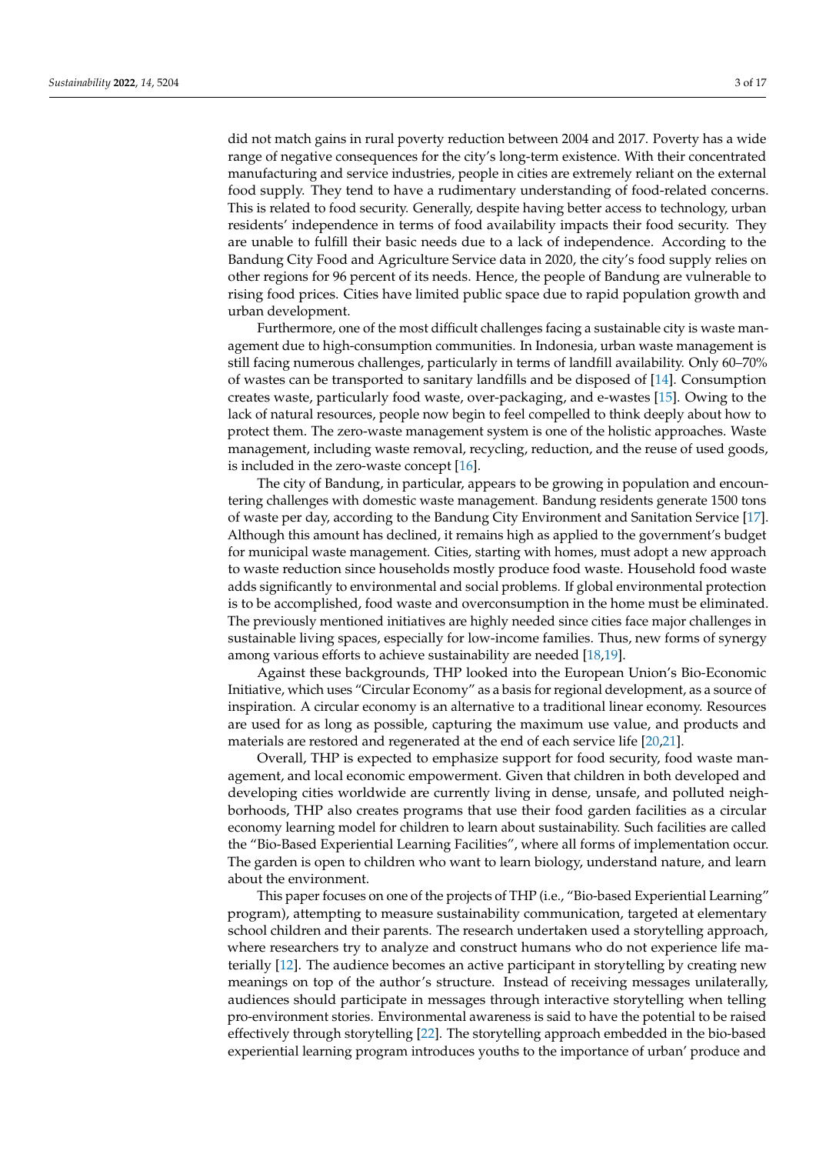did not match gains in rural poverty reduction between 2004 and 2017. Poverty has a wide range of negative consequences for the city's long-term existence. With their concentrated manufacturing and service industries, people in cities are extremely reliant on the external food supply. They tend to have a rudimentary understanding of food-related concerns. This is related to food security. Generally, despite having better access to technology, urban residents' independence in terms of food availability impacts their food security. They are unable to fulfill their basic needs due to a lack of independence. According to the Bandung City Food and Agriculture Service data in 2020, the city's food supply relies on other regions for 96 percent of its needs. Hence, the people of Bandung are vulnerable to rising food prices. Cities have limited public space due to rapid population growth and urban development.

Furthermore, one of the most difficult challenges facing a sustainable city is waste management due to high-consumption communities. In Indonesia, urban waste management is still facing numerous challenges, particularly in terms of landfill availability. Only 60–70% of wastes can be transported to sanitary landfills and be disposed of [\[14\]](#page-14-13). Consumption creates waste, particularly food waste, over-packaging, and e-wastes [\[15\]](#page-14-14). Owing to the lack of natural resources, people now begin to feel compelled to think deeply about how to protect them. The zero-waste management system is one of the holistic approaches. Waste management, including waste removal, recycling, reduction, and the reuse of used goods, is included in the zero-waste concept [\[16\]](#page-14-15).

The city of Bandung, in particular, appears to be growing in population and encountering challenges with domestic waste management. Bandung residents generate 1500 tons of waste per day, according to the Bandung City Environment and Sanitation Service [\[17\]](#page-14-16). Although this amount has declined, it remains high as applied to the government's budget for municipal waste management. Cities, starting with homes, must adopt a new approach to waste reduction since households mostly produce food waste. Household food waste adds significantly to environmental and social problems. If global environmental protection is to be accomplished, food waste and overconsumption in the home must be eliminated. The previously mentioned initiatives are highly needed since cities face major challenges in sustainable living spaces, especially for low-income families. Thus, new forms of synergy among various efforts to achieve sustainability are needed [\[18](#page-15-0)[,19\]](#page-15-1).

Against these backgrounds, THP looked into the European Union's Bio-Economic Initiative, which uses "Circular Economy" as a basis for regional development, as a source of inspiration. A circular economy is an alternative to a traditional linear economy. Resources are used for as long as possible, capturing the maximum use value, and products and materials are restored and regenerated at the end of each service life [\[20,](#page-15-2)[21\]](#page-15-3).

Overall, THP is expected to emphasize support for food security, food waste management, and local economic empowerment. Given that children in both developed and developing cities worldwide are currently living in dense, unsafe, and polluted neighborhoods, THP also creates programs that use their food garden facilities as a circular economy learning model for children to learn about sustainability. Such facilities are called the "Bio-Based Experiential Learning Facilities", where all forms of implementation occur. The garden is open to children who want to learn biology, understand nature, and learn about the environment.

This paper focuses on one of the projects of THP (i.e., "Bio-based Experiential Learning" program), attempting to measure sustainability communication, targeted at elementary school children and their parents. The research undertaken used a storytelling approach, where researchers try to analyze and construct humans who do not experience life materially [\[12\]](#page-14-11). The audience becomes an active participant in storytelling by creating new meanings on top of the author's structure. Instead of receiving messages unilaterally, audiences should participate in messages through interactive storytelling when telling pro-environment stories. Environmental awareness is said to have the potential to be raised effectively through storytelling [\[22\]](#page-15-4). The storytelling approach embedded in the bio-based experiential learning program introduces youths to the importance of urban' produce and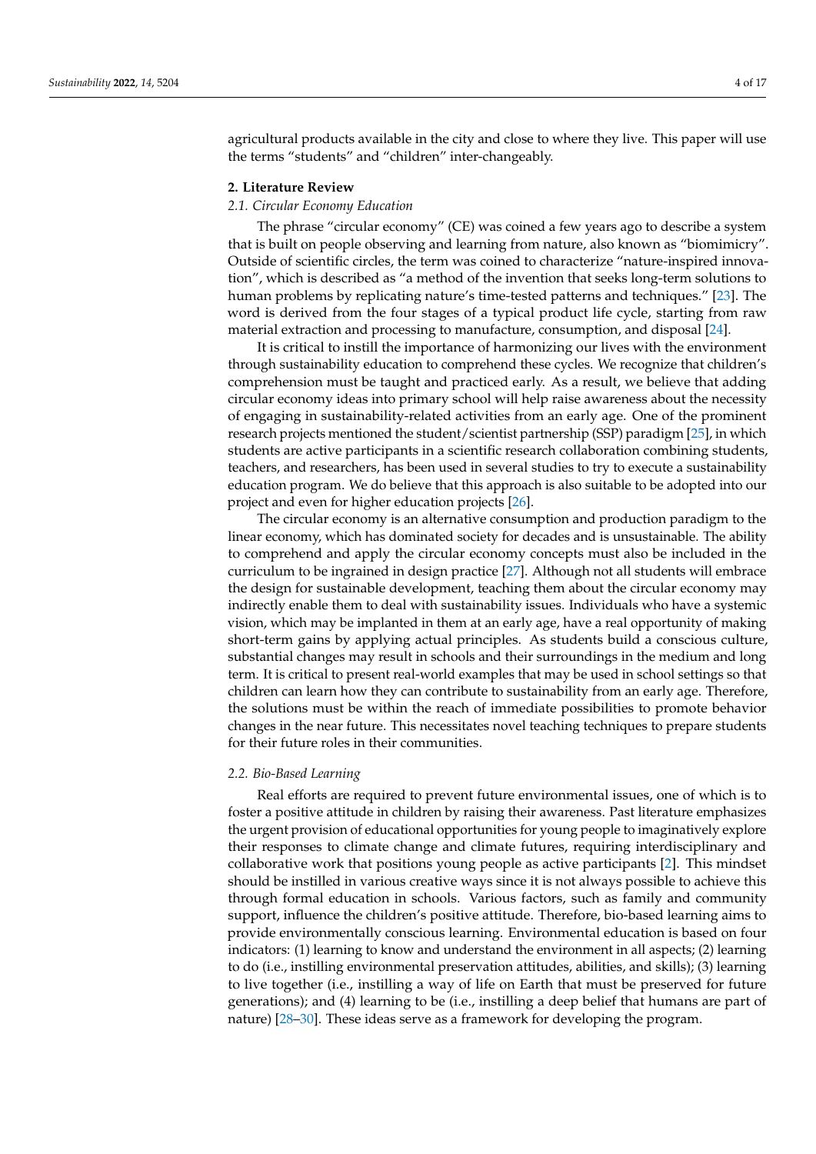agricultural products available in the city and close to where they live. This paper will use the terms "students" and "children" inter-changeably.

#### **2. Literature Review**

## *2.1. Circular Economy Education*

The phrase "circular economy" (CE) was coined a few years ago to describe a system that is built on people observing and learning from nature, also known as "biomimicry". Outside of scientific circles, the term was coined to characterize "nature-inspired innovation", which is described as "a method of the invention that seeks long-term solutions to human problems by replicating nature's time-tested patterns and techniques." [\[23\]](#page-15-5). The word is derived from the four stages of a typical product life cycle, starting from raw material extraction and processing to manufacture, consumption, and disposal [\[24\]](#page-15-6).

It is critical to instill the importance of harmonizing our lives with the environment through sustainability education to comprehend these cycles. We recognize that children's comprehension must be taught and practiced early. As a result, we believe that adding circular economy ideas into primary school will help raise awareness about the necessity of engaging in sustainability-related activities from an early age. One of the prominent research projects mentioned the student/scientist partnership (SSP) paradigm [\[25\]](#page-15-7), in which students are active participants in a scientific research collaboration combining students, teachers, and researchers, has been used in several studies to try to execute a sustainability education program. We do believe that this approach is also suitable to be adopted into our project and even for higher education projects [\[26\]](#page-15-8).

The circular economy is an alternative consumption and production paradigm to the linear economy, which has dominated society for decades and is unsustainable. The ability to comprehend and apply the circular economy concepts must also be included in the curriculum to be ingrained in design practice [\[27\]](#page-15-9). Although not all students will embrace the design for sustainable development, teaching them about the circular economy may indirectly enable them to deal with sustainability issues. Individuals who have a systemic vision, which may be implanted in them at an early age, have a real opportunity of making short-term gains by applying actual principles. As students build a conscious culture, substantial changes may result in schools and their surroundings in the medium and long term. It is critical to present real-world examples that may be used in school settings so that children can learn how they can contribute to sustainability from an early age. Therefore, the solutions must be within the reach of immediate possibilities to promote behavior changes in the near future. This necessitates novel teaching techniques to prepare students for their future roles in their communities.

#### *2.2. Bio-Based Learning*

Real efforts are required to prevent future environmental issues, one of which is to foster a positive attitude in children by raising their awareness. Past literature emphasizes the urgent provision of educational opportunities for young people to imaginatively explore their responses to climate change and climate futures, requiring interdisciplinary and collaborative work that positions young people as active participants [\[2\]](#page-14-1). This mindset should be instilled in various creative ways since it is not always possible to achieve this through formal education in schools. Various factors, such as family and community support, influence the children's positive attitude. Therefore, bio-based learning aims to provide environmentally conscious learning. Environmental education is based on four indicators: (1) learning to know and understand the environment in all aspects; (2) learning to do (i.e., instilling environmental preservation attitudes, abilities, and skills); (3) learning to live together (i.e., instilling a way of life on Earth that must be preserved for future generations); and (4) learning to be (i.e., instilling a deep belief that humans are part of nature) [\[28](#page-15-10)[–30\]](#page-15-11). These ideas serve as a framework for developing the program.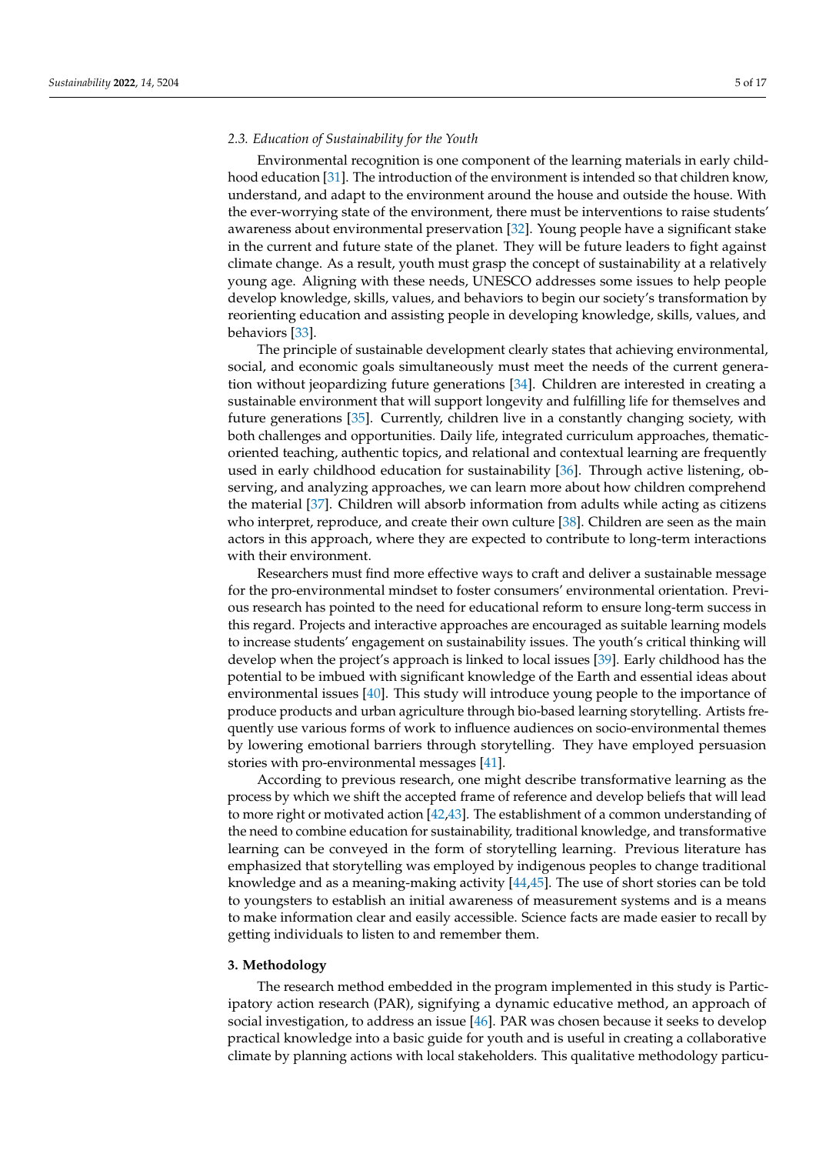#### *2.3. Education of Sustainability for the Youth*

Environmental recognition is one component of the learning materials in early childhood education [\[31\]](#page-15-12). The introduction of the environment is intended so that children know, understand, and adapt to the environment around the house and outside the house. With the ever-worrying state of the environment, there must be interventions to raise students' awareness about environmental preservation [\[32\]](#page-15-13). Young people have a significant stake in the current and future state of the planet. They will be future leaders to fight against climate change. As a result, youth must grasp the concept of sustainability at a relatively young age. Aligning with these needs, UNESCO addresses some issues to help people develop knowledge, skills, values, and behaviors to begin our society's transformation by reorienting education and assisting people in developing knowledge, skills, values, and behaviors [\[33\]](#page-15-14).

The principle of sustainable development clearly states that achieving environmental, social, and economic goals simultaneously must meet the needs of the current generation without jeopardizing future generations [\[34\]](#page-15-15). Children are interested in creating a sustainable environment that will support longevity and fulfilling life for themselves and future generations [\[35\]](#page-15-16). Currently, children live in a constantly changing society, with both challenges and opportunities. Daily life, integrated curriculum approaches, thematicoriented teaching, authentic topics, and relational and contextual learning are frequently used in early childhood education for sustainability [\[36\]](#page-15-17). Through active listening, observing, and analyzing approaches, we can learn more about how children comprehend the material [\[37\]](#page-15-18). Children will absorb information from adults while acting as citizens who interpret, reproduce, and create their own culture [\[38\]](#page-15-19). Children are seen as the main actors in this approach, where they are expected to contribute to long-term interactions with their environment.

Researchers must find more effective ways to craft and deliver a sustainable message for the pro-environmental mindset to foster consumers' environmental orientation. Previous research has pointed to the need for educational reform to ensure long-term success in this regard. Projects and interactive approaches are encouraged as suitable learning models to increase students' engagement on sustainability issues. The youth's critical thinking will develop when the project's approach is linked to local issues [\[39\]](#page-15-20). Early childhood has the potential to be imbued with significant knowledge of the Earth and essential ideas about environmental issues [\[40\]](#page-15-21). This study will introduce young people to the importance of produce products and urban agriculture through bio-based learning storytelling. Artists frequently use various forms of work to influence audiences on socio-environmental themes by lowering emotional barriers through storytelling. They have employed persuasion stories with pro-environmental messages [\[41\]](#page-15-22).

According to previous research, one might describe transformative learning as the process by which we shift the accepted frame of reference and develop beliefs that will lead to more right or motivated action [\[42,](#page-15-23)[43\]](#page-15-24). The establishment of a common understanding of the need to combine education for sustainability, traditional knowledge, and transformative learning can be conveyed in the form of storytelling learning. Previous literature has emphasized that storytelling was employed by indigenous peoples to change traditional knowledge and as a meaning-making activity [\[44](#page-15-25)[,45\]](#page-15-26). The use of short stories can be told to youngsters to establish an initial awareness of measurement systems and is a means to make information clear and easily accessible. Science facts are made easier to recall by getting individuals to listen to and remember them.

# **3. Methodology**

The research method embedded in the program implemented in this study is Participatory action research (PAR), signifying a dynamic educative method, an approach of social investigation, to address an issue [\[46\]](#page-15-27). PAR was chosen because it seeks to develop practical knowledge into a basic guide for youth and is useful in creating a collaborative climate by planning actions with local stakeholders. This qualitative methodology particu-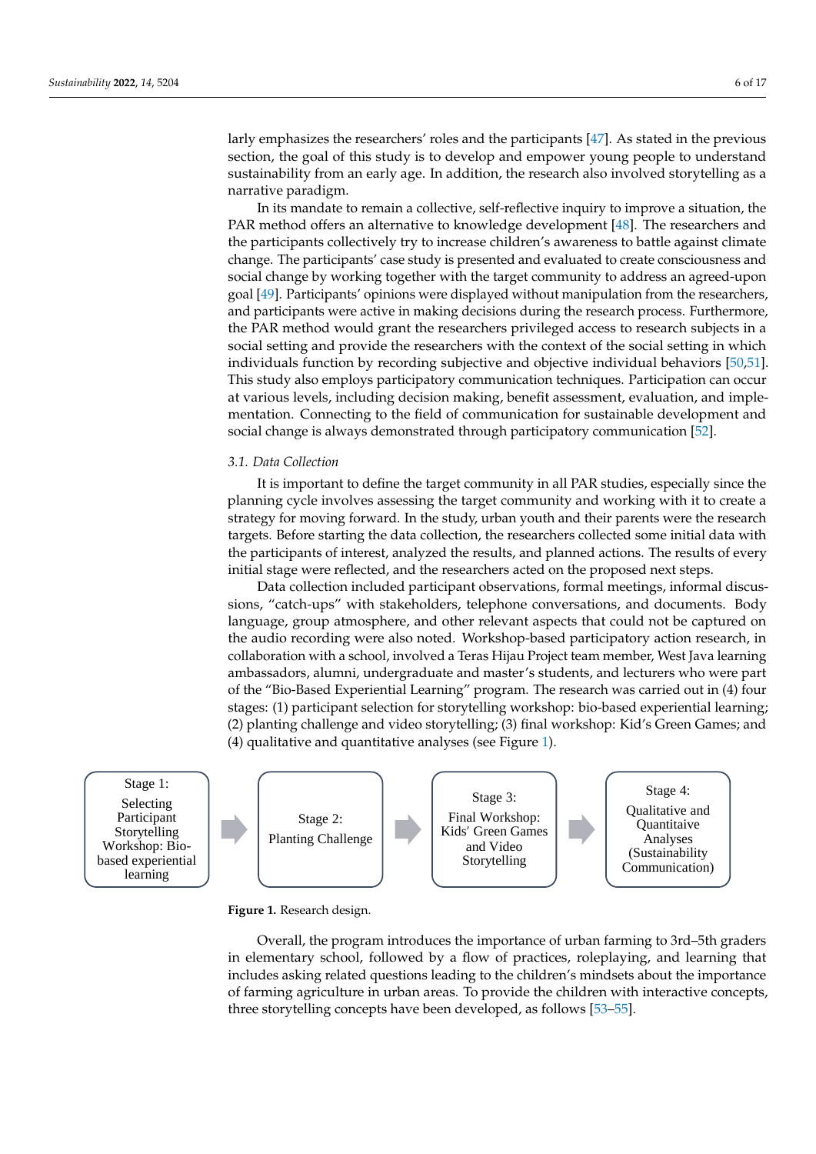larly emphasizes the researchers' roles and the participants [\[47\]](#page-16-0). As stated in the previous section, the goal of this study is to develop and empower young people to understand sustainability from an early age. In addition, the research also involved storytelling as a narrative paradigm.

In its mandate to remain a collective, self-reflective inquiry to improve a situation, the PAR method offers an alternative to knowledge development [\[48\]](#page-16-1). The researchers and the participants collectively try to increase children's awareness to battle against climate change. The participants' case study is presented and evaluated to create consciousness and social change by working together with the target community to address an agreed-upon goal [\[49\]](#page-16-2). Participants' opinions were displayed without manipulation from the researchers, and participants were active in making decisions during the research process. Furthermore, the PAR method would grant the researchers privileged access to research subjects in a social setting and provide the researchers with the context of the social setting in which individuals function by recording subjective and objective individual behaviors [\[50,](#page-16-3)[51\]](#page-16-4). This study also employs participatory communication techniques. Participation can occur at various levels, including decision making, benefit assessment, evaluation, and implementation. Connecting to the field of communication for sustainable development and social change is always demonstrated through participatory communication [\[52\]](#page-16-5).

#### *3.1. Data Collection*

It is important to define the target community in all PAR studies, especially since the planning cycle involves assessing the target community and working with it to create a strategy for moving forward. In the study, urban youth and their parents were the research targets. Before starting the data collection, the researchers collected some initial data with the participants of interest, analyzed the results, and planned actions. The results of every initial stage were reflected, and the researchers acted on the proposed next steps.

Data collection included participant observations, formal meetings, informal discussions, "catch-ups" with stakeholders, telephone conversations, and documents. Body language, group atmosphere, and other relevant aspects that could not be captured on the audio recording were also noted. Workshop-based participatory action research, in collaboration with a school, involved a Teras Hijau Project team member, West Java learning ambassadors, alumni, undergraduate and master's students, and lecturers who were part of the "Bio-Based Experiential Learning" program. The research was carried out in (4) four stages: (1) participant selection for storytelling workshop: bio-based experiential learning; (2) planting challenge and video storytelling; (3) final workshop: Kid's Green Games; and (4) qualitative and quantitative analyses (see Figure [1\)](#page-5-0).

<span id="page-5-0"></span>

#### **Figure 1.** Research design. **Figure 1.** Research design.

Overall, the program introduces the importance of urban farming to 3rd–5th graders Overall, the program introduces the importance of urban farming to 3rd–5th graders in elementary school, followed by a flow of practices, roleplaying, and learning that in elementary school, followed by a flow of practices, roleplaying, and learning that includes asking related questions leading to the children's mindsets about the importance includes asking related questions leading to the children's mindsets about the importance of farming agriculture in urban areas. To provide the children with interactive concepts, of farming agriculture in urban areas. To provide the children with interactive concepts, three storytelling concepts have been developed, as follows [53–55]. three storytelling concepts have been developed, as follows [\[53](#page-16-6)[–55\]](#page-16-7).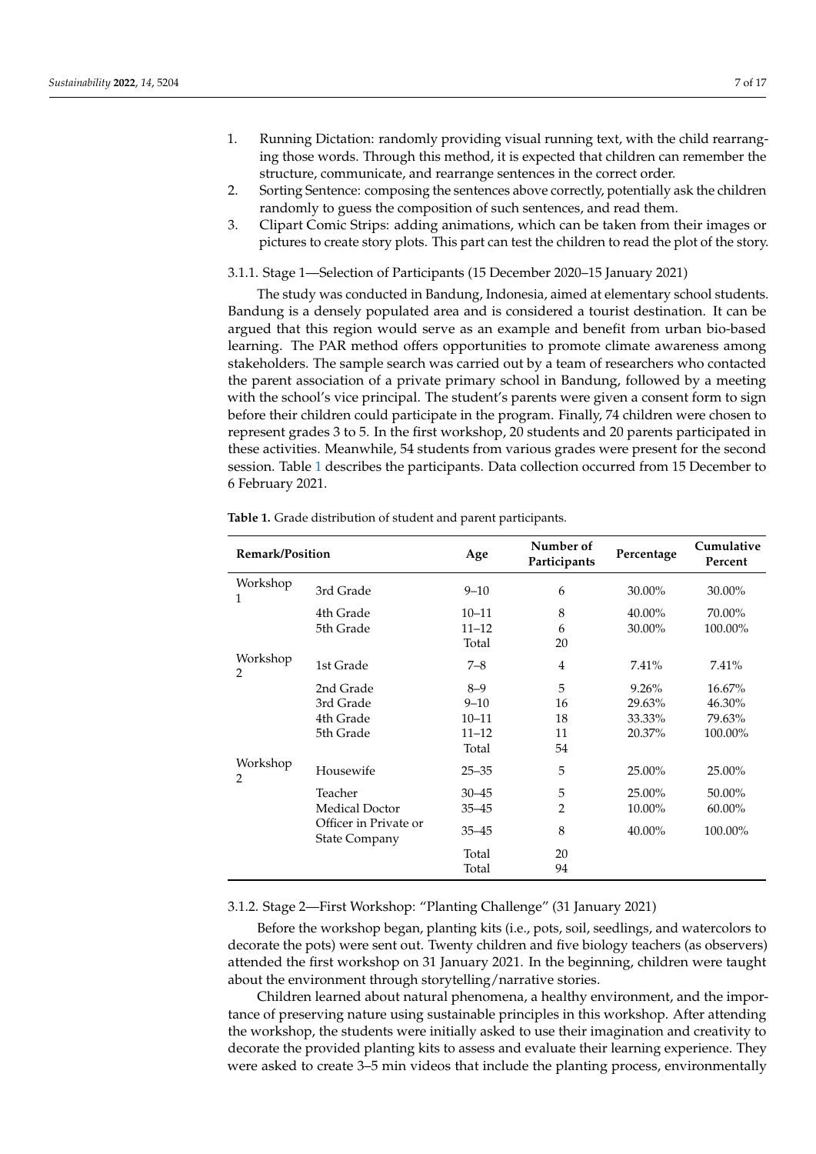- 1. Running Dictation: randomly providing visual running text, with the child rearranging those words. Through this method, it is expected that children can remember the structure, communicate, and rearrange sentences in the correct order.
- 2. Sorting Sentence: composing the sentences above correctly, potentially ask the children randomly to guess the composition of such sentences, and read them.
- 3. Clipart Comic Strips: adding animations, which can be taken from their images or pictures to create story plots. This part can test the children to read the plot of the story.

3.1.1. Stage 1—Selection of Participants (15 December 2020–15 January 2021)

The study was conducted in Bandung, Indonesia, aimed at elementary school students. Bandung is a densely populated area and is considered a tourist destination. It can be argued that this region would serve as an example and benefit from urban bio-based learning. The PAR method offers opportunities to promote climate awareness among stakeholders. The sample search was carried out by a team of researchers who contacted the parent association of a private primary school in Bandung, followed by a meeting with the school's vice principal. The student's parents were given a consent form to sign before their children could participate in the program. Finally, 74 children were chosen to represent grades 3 to 5. In the first workshop, 20 students and 20 parents participated in these activities. Meanwhile, 54 students from various grades were present for the second session. Table [1](#page-6-0) describes the participants. Data collection occurred from 15 December to 6 February 2021.

| <b>Remark/Position</b>     |                                               | Age       | Number of<br>Participants | Percentage | Cumulative<br>Percent |
|----------------------------|-----------------------------------------------|-----------|---------------------------|------------|-----------------------|
| Workshop<br>1              | 3rd Grade                                     | $9 - 10$  | 6                         | 30.00%     | 30.00%                |
|                            | 4th Grade                                     | $10 - 11$ | 8                         | 40.00%     | 70.00%                |
|                            | 5th Grade                                     | $11 - 12$ | 6                         | 30.00%     | 100.00%               |
|                            |                                               | Total     | 20                        |            |                       |
| Workshop<br>2              | 1st Grade                                     | $7 - 8$   | $\overline{4}$            | 7.41%      | 7.41%                 |
|                            | 2nd Grade                                     | $8 - 9$   | 5                         | 9.26%      | 16.67%                |
|                            | 3rd Grade                                     | $9 - 10$  | 16                        | 29.63%     | 46.30%                |
|                            | 4th Grade                                     | $10 - 11$ | 18                        | 33.33%     | 79.63%                |
|                            | 5th Grade                                     | $11 - 12$ | 11                        | 20.37%     | 100.00%               |
|                            |                                               | Total     | 54                        |            |                       |
| Workshop<br>$\overline{2}$ | Housewife                                     | $25 - 35$ | 5                         | 25.00%     | 25.00%                |
|                            | Teacher                                       | $30 - 45$ | $\mathbf 5$               | 25.00%     | 50.00%                |
|                            | Medical Doctor                                | $35 - 45$ | $\overline{2}$            | 10.00%     | 60.00%                |
|                            | Officer in Private or<br><b>State Company</b> | $35 - 45$ | 8                         | 40.00%     | 100.00%               |
|                            |                                               | Total     | 20                        |            |                       |
|                            |                                               | Total     | 94                        |            |                       |

<span id="page-6-0"></span>**Table 1.** Grade distribution of student and parent participants.

## 3.1.2. Stage 2—First Workshop: "Planting Challenge" (31 January 2021)

Before the workshop began, planting kits (i.e., pots, soil, seedlings, and watercolors to decorate the pots) were sent out. Twenty children and five biology teachers (as observers) attended the first workshop on 31 January 2021. In the beginning, children were taught about the environment through storytelling/narrative stories.

Children learned about natural phenomena, a healthy environment, and the importance of preserving nature using sustainable principles in this workshop. After attending the workshop, the students were initially asked to use their imagination and creativity to decorate the provided planting kits to assess and evaluate their learning experience. They were asked to create 3–5 min videos that include the planting process, environmentally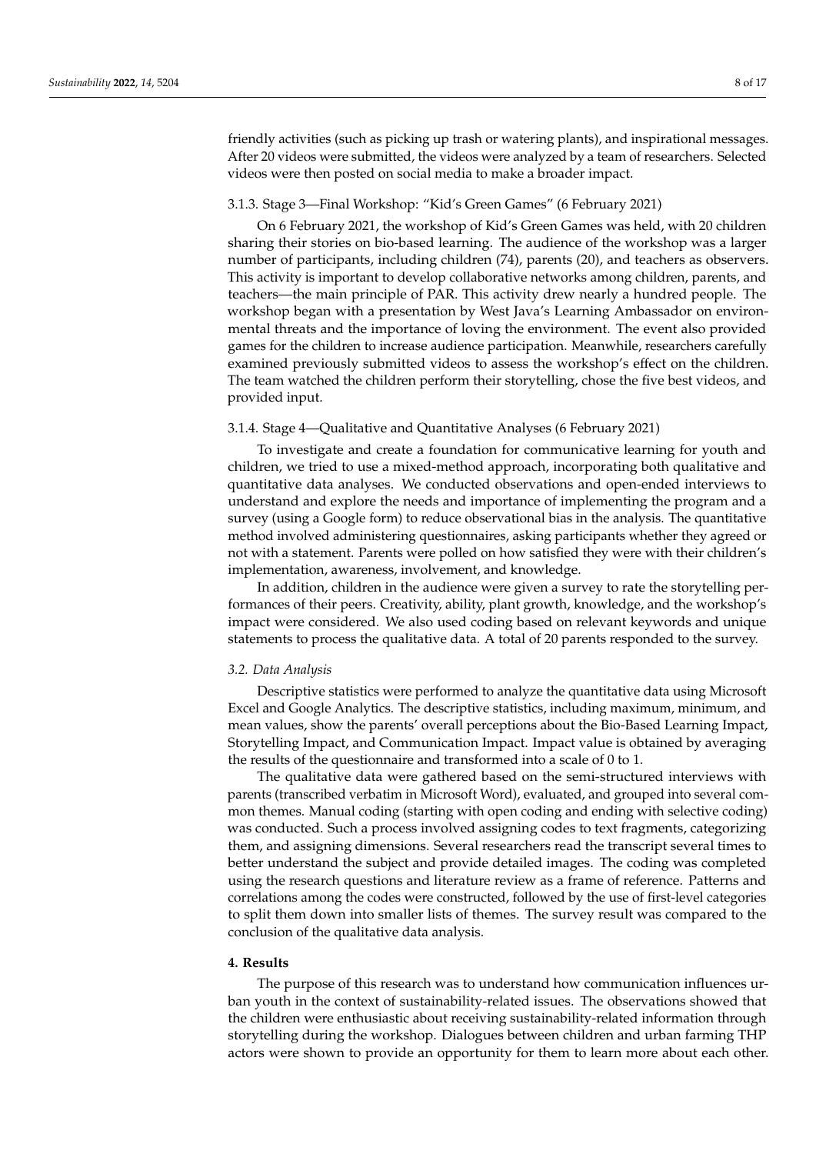friendly activities (such as picking up trash or watering plants), and inspirational messages. After 20 videos were submitted, the videos were analyzed by a team of researchers. Selected videos were then posted on social media to make a broader impact.

## 3.1.3. Stage 3—Final Workshop: "Kid's Green Games" (6 February 2021)

On 6 February 2021, the workshop of Kid's Green Games was held, with 20 children sharing their stories on bio-based learning. The audience of the workshop was a larger number of participants, including children (74), parents (20), and teachers as observers. This activity is important to develop collaborative networks among children, parents, and teachers—the main principle of PAR. This activity drew nearly a hundred people. The workshop began with a presentation by West Java's Learning Ambassador on environmental threats and the importance of loving the environment. The event also provided games for the children to increase audience participation. Meanwhile, researchers carefully examined previously submitted videos to assess the workshop's effect on the children. The team watched the children perform their storytelling, chose the five best videos, and provided input.

# 3.1.4. Stage 4—Qualitative and Quantitative Analyses (6 February 2021)

To investigate and create a foundation for communicative learning for youth and children, we tried to use a mixed-method approach, incorporating both qualitative and quantitative data analyses. We conducted observations and open-ended interviews to understand and explore the needs and importance of implementing the program and a survey (using a Google form) to reduce observational bias in the analysis. The quantitative method involved administering questionnaires, asking participants whether they agreed or not with a statement. Parents were polled on how satisfied they were with their children's implementation, awareness, involvement, and knowledge.

In addition, children in the audience were given a survey to rate the storytelling performances of their peers. Creativity, ability, plant growth, knowledge, and the workshop's impact were considered. We also used coding based on relevant keywords and unique statements to process the qualitative data. A total of 20 parents responded to the survey.

#### *3.2. Data Analysis*

Descriptive statistics were performed to analyze the quantitative data using Microsoft Excel and Google Analytics. The descriptive statistics, including maximum, minimum, and mean values, show the parents' overall perceptions about the Bio-Based Learning Impact, Storytelling Impact, and Communication Impact. Impact value is obtained by averaging the results of the questionnaire and transformed into a scale of 0 to 1.

The qualitative data were gathered based on the semi-structured interviews with parents (transcribed verbatim in Microsoft Word), evaluated, and grouped into several common themes. Manual coding (starting with open coding and ending with selective coding) was conducted. Such a process involved assigning codes to text fragments, categorizing them, and assigning dimensions. Several researchers read the transcript several times to better understand the subject and provide detailed images. The coding was completed using the research questions and literature review as a frame of reference. Patterns and correlations among the codes were constructed, followed by the use of first-level categories to split them down into smaller lists of themes. The survey result was compared to the conclusion of the qualitative data analysis.

## **4. Results**

The purpose of this research was to understand how communication influences urban youth in the context of sustainability-related issues. The observations showed that the children were enthusiastic about receiving sustainability-related information through storytelling during the workshop. Dialogues between children and urban farming THP actors were shown to provide an opportunity for them to learn more about each other.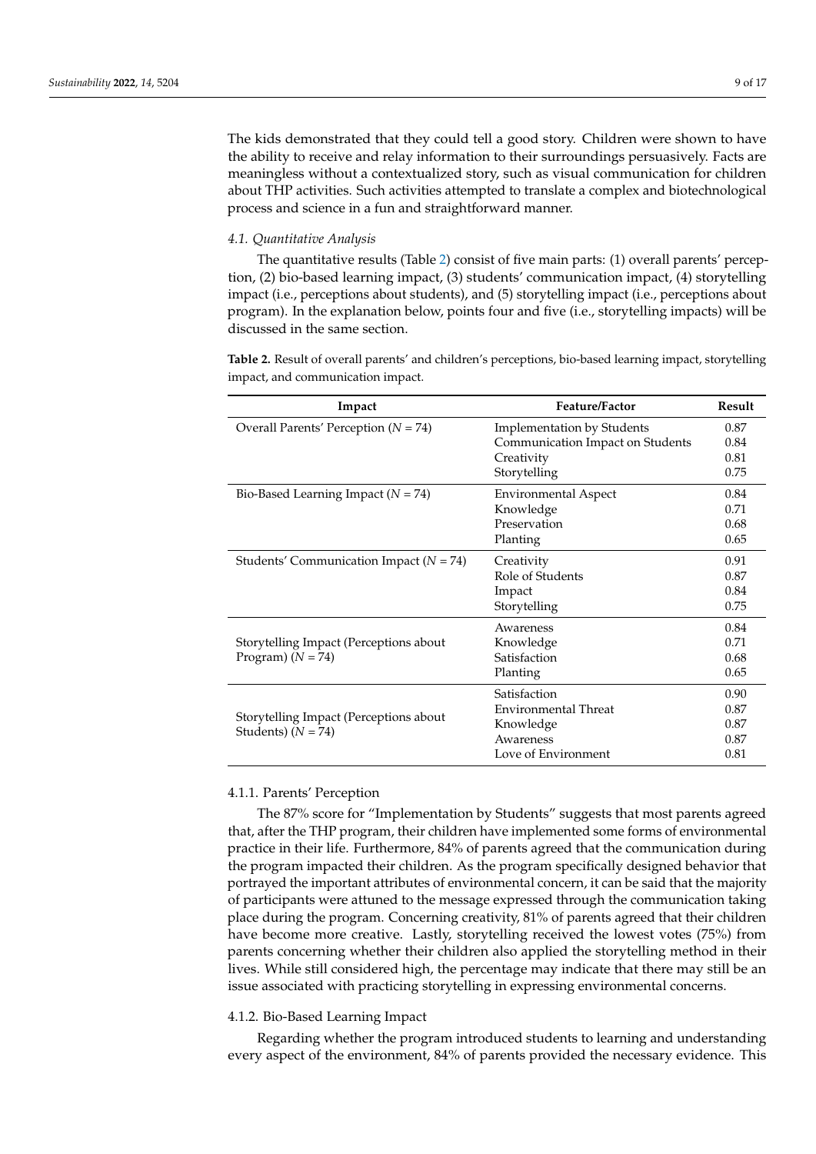The kids demonstrated that they could tell a good story. Children were shown to have the ability to receive and relay information to their surroundings persuasively. Facts are meaningless without a contextualized story, such as visual communication for children about THP activities. Such activities attempted to translate a complex and biotechnological process and science in a fun and straightforward manner.

#### *4.1. Quantitative Analysis*

The quantitative results (Table [2\)](#page-8-0) consist of five main parts: (1) overall parents' perception, (2) bio-based learning impact, (3) students' communication impact, (4) storytelling impact (i.e., perceptions about students), and (5) storytelling impact (i.e., perceptions about program). In the explanation below, points four and five (i.e., storytelling impacts) will be discussed in the same section.

<span id="page-8-0"></span>**Table 2.** Result of overall parents' and children's perceptions, bio-based learning impact, storytelling impact, and communication impact.

| Impact                                      | <b>Feature/Factor</b>             | Result |
|---------------------------------------------|-----------------------------------|--------|
| Overall Parents' Perception ( $N = 74$ )    | <b>Implementation by Students</b> | 0.87   |
|                                             | Communication Impact on Students  | 0.84   |
|                                             | Creativity                        | 0.81   |
|                                             | Storytelling                      | 0.75   |
| Bio-Based Learning Impact ( $N = 74$ )      | <b>Environmental Aspect</b>       | 0.84   |
|                                             | Knowledge                         | 0.71   |
|                                             | Preservation                      | 0.68   |
|                                             | Planting                          | 0.65   |
| Students' Communication Impact ( $N = 74$ ) | Creativity                        | 0.91   |
|                                             | Role of Students                  | 0.87   |
|                                             | Impact                            | 0.84   |
|                                             | Storytelling                      | 0.75   |
|                                             | Awareness                         | 0.84   |
| Storytelling Impact (Perceptions about      | Knowledge                         | 0.71   |
| Program) $(N = 74)$                         | Satisfaction                      | 0.68   |
|                                             | Planting                          | 0.65   |
|                                             | Satisfaction                      | 0.90   |
|                                             | Environmental Threat              | 0.87   |
| Storytelling Impact (Perceptions about      | Knowledge                         | 0.87   |
| Students) $(N = 74)$                        | Awareness                         | 0.87   |
|                                             | Love of Environment               | 0.81   |

#### 4.1.1. Parents' Perception

The 87% score for "Implementation by Students" suggests that most parents agreed that, after the THP program, their children have implemented some forms of environmental practice in their life. Furthermore, 84% of parents agreed that the communication during the program impacted their children. As the program specifically designed behavior that portrayed the important attributes of environmental concern, it can be said that the majority of participants were attuned to the message expressed through the communication taking place during the program. Concerning creativity, 81% of parents agreed that their children have become more creative. Lastly, storytelling received the lowest votes (75%) from parents concerning whether their children also applied the storytelling method in their lives. While still considered high, the percentage may indicate that there may still be an issue associated with practicing storytelling in expressing environmental concerns.

# 4.1.2. Bio-Based Learning Impact

Regarding whether the program introduced students to learning and understanding every aspect of the environment, 84% of parents provided the necessary evidence. This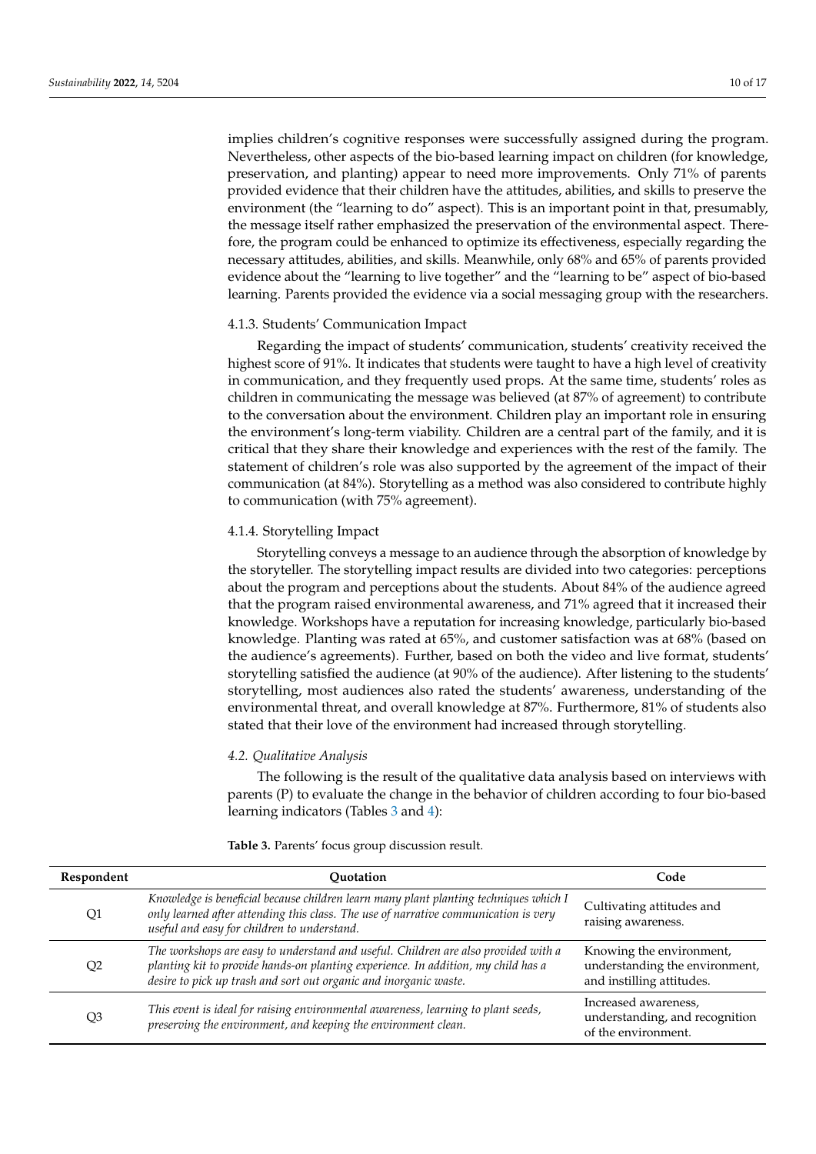implies children's cognitive responses were successfully assigned during the program. Nevertheless, other aspects of the bio-based learning impact on children (for knowledge, preservation, and planting) appear to need more improvements. Only 71% of parents provided evidence that their children have the attitudes, abilities, and skills to preserve the environment (the "learning to do" aspect). This is an important point in that, presumably, the message itself rather emphasized the preservation of the environmental aspect. Therefore, the program could be enhanced to optimize its effectiveness, especially regarding the necessary attitudes, abilities, and skills. Meanwhile, only 68% and 65% of parents provided evidence about the "learning to live together" and the "learning to be" aspect of bio-based learning. Parents provided the evidence via a social messaging group with the researchers.

## 4.1.3. Students' Communication Impact

Regarding the impact of students' communication, students' creativity received the highest score of 91%. It indicates that students were taught to have a high level of creativity in communication, and they frequently used props. At the same time, students' roles as children in communicating the message was believed (at 87% of agreement) to contribute to the conversation about the environment. Children play an important role in ensuring the environment's long-term viability. Children are a central part of the family, and it is critical that they share their knowledge and experiences with the rest of the family. The statement of children's role was also supported by the agreement of the impact of their communication (at 84%). Storytelling as a method was also considered to contribute highly to communication (with 75% agreement).

## 4.1.4. Storytelling Impact

Storytelling conveys a message to an audience through the absorption of knowledge by the storyteller. The storytelling impact results are divided into two categories: perceptions about the program and perceptions about the students. About 84% of the audience agreed that the program raised environmental awareness, and 71% agreed that it increased their knowledge. Workshops have a reputation for increasing knowledge, particularly bio-based knowledge. Planting was rated at 65%, and customer satisfaction was at 68% (based on the audience's agreements). Further, based on both the video and live format, students' storytelling satisfied the audience (at 90% of the audience). After listening to the students' storytelling, most audiences also rated the students' awareness, understanding of the environmental threat, and overall knowledge at 87%. Furthermore, 81% of students also stated that their love of the environment had increased through storytelling.

#### *4.2. Qualitative Analysis*

The following is the result of the qualitative data analysis based on interviews with parents (P) to evaluate the change in the behavior of children according to four bio-based learning indicators (Tables [3](#page-10-0) and [4\)](#page-11-0):

| Respondent | Ouotation                                                                                                                                                                                                                                    | Code                                                                                    |
|------------|----------------------------------------------------------------------------------------------------------------------------------------------------------------------------------------------------------------------------------------------|-----------------------------------------------------------------------------------------|
| Q1         | Knowledge is beneficial because children learn many plant planting techniques which I<br>only learned after attending this class. The use of narrative communication is very<br>useful and easy for children to understand.                  | Cultivating attitudes and<br>raising awareness.                                         |
| Q2         | The workshops are easy to understand and useful. Children are also provided with a<br>planting kit to provide hands-on planting experience. In addition, my child has a<br>desire to pick up trash and sort out organic and inorganic waste. | Knowing the environment,<br>understanding the environment,<br>and instilling attitudes. |
| Q3         | This event is ideal for raising environmental awareness, learning to plant seeds,<br>preserving the environment, and keeping the environment clean.                                                                                          | Increased awareness,<br>understanding, and recognition<br>of the environment.           |

**Table 3.** Parents' focus group discussion result.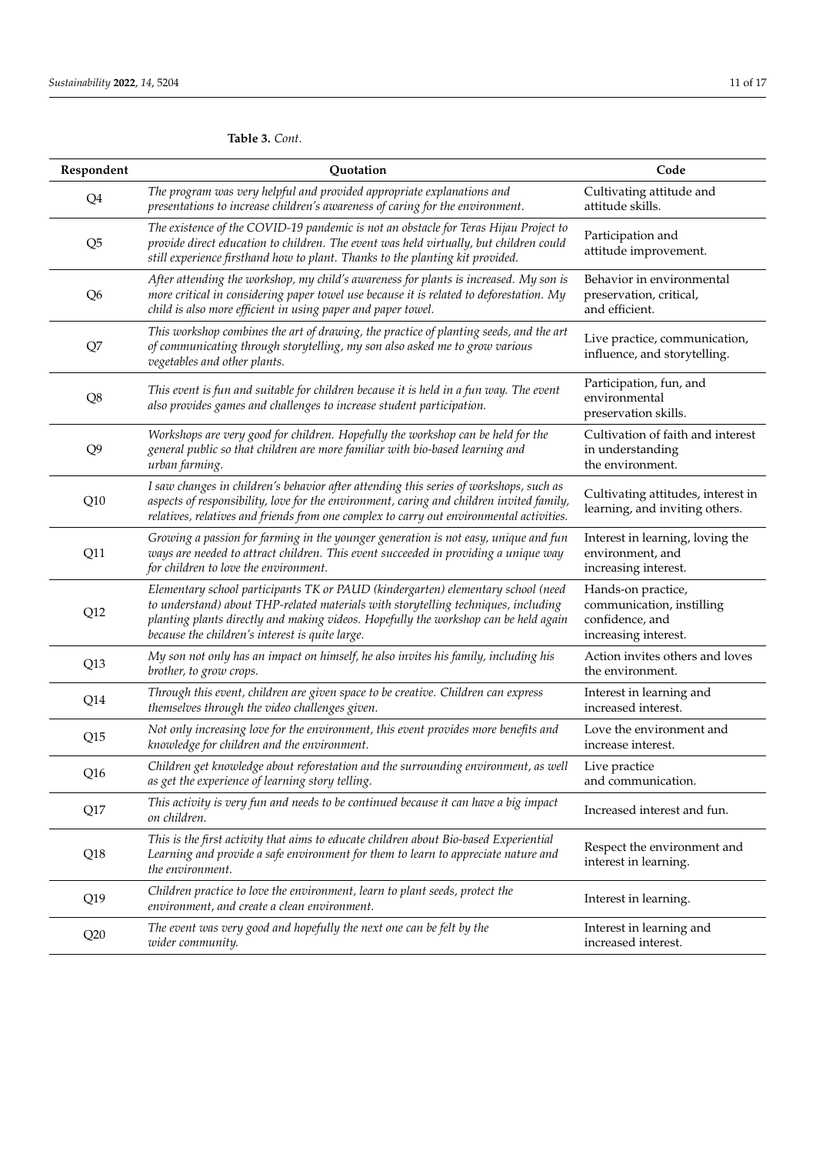# <span id="page-10-0"></span>**Table 3.** *Cont.*

| Respondent     | Quotation                                                                                                                                                                                                                                                                                                         | Code                                                                                       |
|----------------|-------------------------------------------------------------------------------------------------------------------------------------------------------------------------------------------------------------------------------------------------------------------------------------------------------------------|--------------------------------------------------------------------------------------------|
| Q <sub>4</sub> | The program was very helpful and provided appropriate explanations and<br>presentations to increase children's awareness of caring for the environment.                                                                                                                                                           | Cultivating attitude and<br>attitude skills.                                               |
| Q <sub>5</sub> | The existence of the COVID-19 pandemic is not an obstacle for Teras Hijau Project to<br>provide direct education to children. The event was held virtually, but children could<br>still experience firsthand how to plant. Thanks to the planting kit provided.                                                   | Participation and<br>attitude improvement.                                                 |
| Q <sub>6</sub> | After attending the workshop, my child's awareness for plants is increased. My son is<br>more critical in considering paper towel use because it is related to deforestation. My<br>child is also more efficient in using paper and paper towel.                                                                  | Behavior in environmental<br>preservation, critical,<br>and efficient.                     |
| Q7             | This workshop combines the art of drawing, the practice of planting seeds, and the art<br>of communicating through storytelling, my son also asked me to grow various<br>vegetables and other plants.                                                                                                             | Live practice, communication,<br>influence, and storytelling.                              |
| Q8             | This event is fun and suitable for children because it is held in a fun way. The event<br>also provides games and challenges to increase student participation.                                                                                                                                                   | Participation, fun, and<br>environmental<br>preservation skills.                           |
| Q <sub>9</sub> | Workshops are very good for children. Hopefully the workshop can be held for the<br>general public so that children are more familiar with bio-based learning and<br>urban farming.                                                                                                                               | Cultivation of faith and interest<br>in understanding<br>the environment.                  |
| Q10            | I saw changes in children's behavior after attending this series of workshops, such as<br>aspects of responsibility, love for the environment, caring and children invited family,<br>relatives, relatives and friends from one complex to carry out environmental activities.                                    | Cultivating attitudes, interest in<br>learning, and inviting others.                       |
| Q11            | Growing a passion for farming in the younger generation is not easy, unique and fun<br>ways are needed to attract children. This event succeeded in providing a unique way<br>for children to love the environment.                                                                                               | Interest in learning, loving the<br>environment, and<br>increasing interest.               |
| Q12            | Elementary school participants TK or PAUD (kindergarten) elementary school (need<br>to understand) about THP-related materials with storytelling techniques, including<br>planting plants directly and making videos. Hopefully the workshop can be held again<br>because the children's interest is quite large. | Hands-on practice,<br>communication, instilling<br>confidence, and<br>increasing interest. |
| Q13            | My son not only has an impact on himself, he also invites his family, including his<br>brother, to grow crops.                                                                                                                                                                                                    | Action invites others and loves<br>the environment.                                        |
| Q14            | Through this event, children are given space to be creative. Children can express<br>themselves through the video challenges given.                                                                                                                                                                               | Interest in learning and<br>increased interest.                                            |
| Q15            | Not only increasing love for the environment, this event provides more benefits and<br>knowledge for children and the environment.                                                                                                                                                                                | Love the environment and<br>increase interest.                                             |
| Q16            | Children get knowledge about reforestation and the surrounding environment, as well<br>as get the experience of learning story telling.                                                                                                                                                                           | Live practice<br>and communication.                                                        |
| Q17            | This activity is very fun and needs to be continued because it can have a big impact<br>on children.                                                                                                                                                                                                              | Increased interest and fun.                                                                |
| Q18            | This is the first activity that aims to educate children about Bio-based Experiential<br>Learning and provide a safe environment for them to learn to appreciate nature and<br>the environment.                                                                                                                   | Respect the environment and<br>interest in learning.                                       |
| Q19            | Children practice to love the environment, learn to plant seeds, protect the<br>environment, and create a clean environment.                                                                                                                                                                                      | Interest in learning.                                                                      |
| Q20            | The event was very good and hopefully the next one can be felt by the<br>wider community.                                                                                                                                                                                                                         | Interest in learning and<br>increased interest.                                            |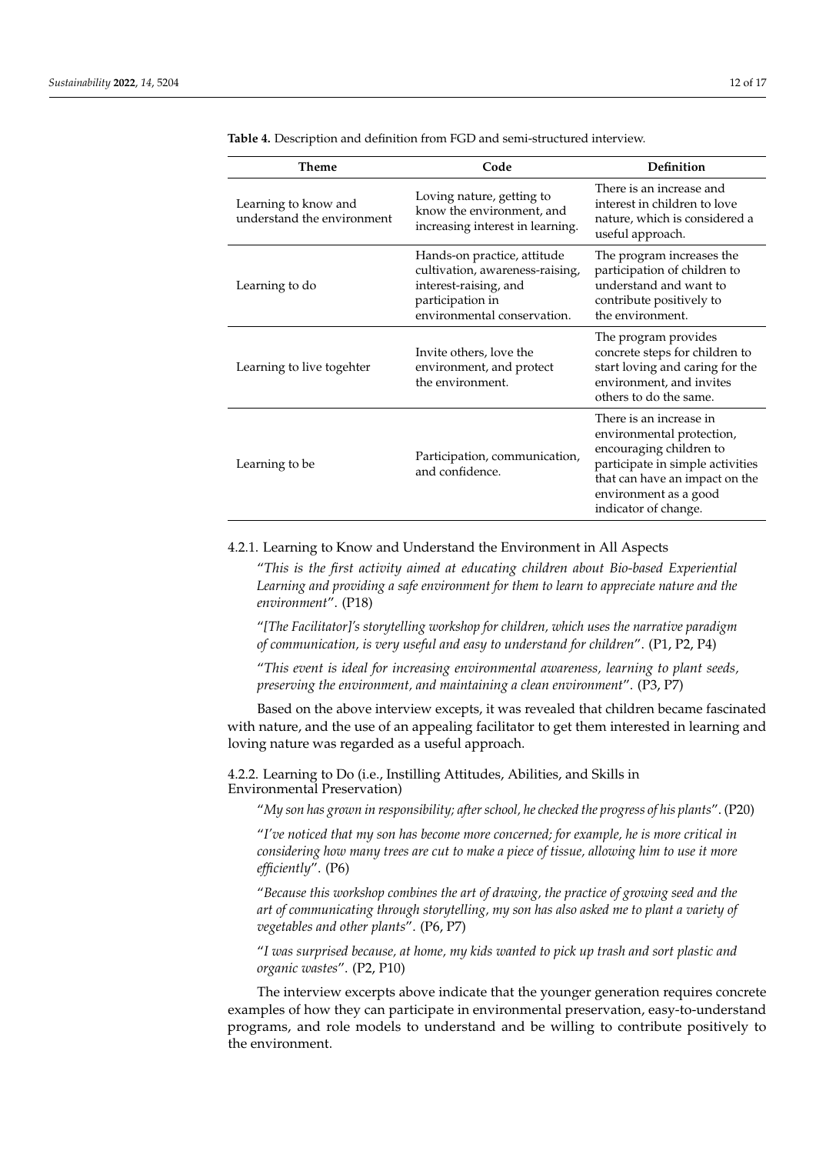| Theme                                              | Code                                                                                                                                       | Definition                                                                                                                                                                                             |  |
|----------------------------------------------------|--------------------------------------------------------------------------------------------------------------------------------------------|--------------------------------------------------------------------------------------------------------------------------------------------------------------------------------------------------------|--|
| Learning to know and<br>understand the environment | Loving nature, getting to<br>know the environment, and<br>increasing interest in learning.                                                 | There is an increase and<br>interest in children to love<br>nature, which is considered a<br>useful approach.                                                                                          |  |
| Learning to do                                     | Hands-on practice, attitude<br>cultivation, awareness-raising,<br>interest-raising, and<br>participation in<br>environmental conservation. | The program increases the<br>participation of children to<br>understand and want to<br>contribute positively to<br>the environment.                                                                    |  |
| Learning to live togehter                          | Invite others, love the<br>environment, and protect<br>the environment.                                                                    | The program provides<br>concrete steps for children to<br>start loving and caring for the<br>environment, and invites<br>others to do the same.                                                        |  |
| Learning to be                                     | Participation, communication,<br>and confidence.                                                                                           | There is an increase in<br>environmental protection,<br>encouraging children to<br>participate in simple activities<br>that can have an impact on the<br>environment as a good<br>indicator of change. |  |

<span id="page-11-0"></span>**Table 4.** Description and definition from FGD and semi-structured interview.

# 4.2.1. Learning to Know and Understand the Environment in All Aspects

"*This is the first activity aimed at educating children about Bio-based Experiential Learning and providing a safe environment for them to learn to appreciate nature and the environment*". (P18)

"*[The Facilitator]'s storytelling workshop for children, which uses the narrative paradigm of communication, is very useful and easy to understand for children*". (P1, P2, P4)

"*This event is ideal for increasing environmental awareness, learning to plant seeds, preserving the environment, and maintaining a clean environment*". (P3, P7)

Based on the above interview excepts, it was revealed that children became fascinated with nature, and the use of an appealing facilitator to get them interested in learning and loving nature was regarded as a useful approach.

4.2.2. Learning to Do (i.e., Instilling Attitudes, Abilities, and Skills in Environmental Preservation)

"*My son has grown in responsibility; after school, he checked the progress of his plants*". (P20)

"*I've noticed that my son has become more concerned; for example, he is more critical in considering how many trees are cut to make a piece of tissue, allowing him to use it more efficiently*". (P6)

"*Because this workshop combines the art of drawing, the practice of growing seed and the art of communicating through storytelling, my son has also asked me to plant a variety of vegetables and other plants*". (P6, P7)

"*I was surprised because, at home, my kids wanted to pick up trash and sort plastic and organic wastes*". (P2, P10)

The interview excerpts above indicate that the younger generation requires concrete examples of how they can participate in environmental preservation, easy-to-understand programs, and role models to understand and be willing to contribute positively to the environment.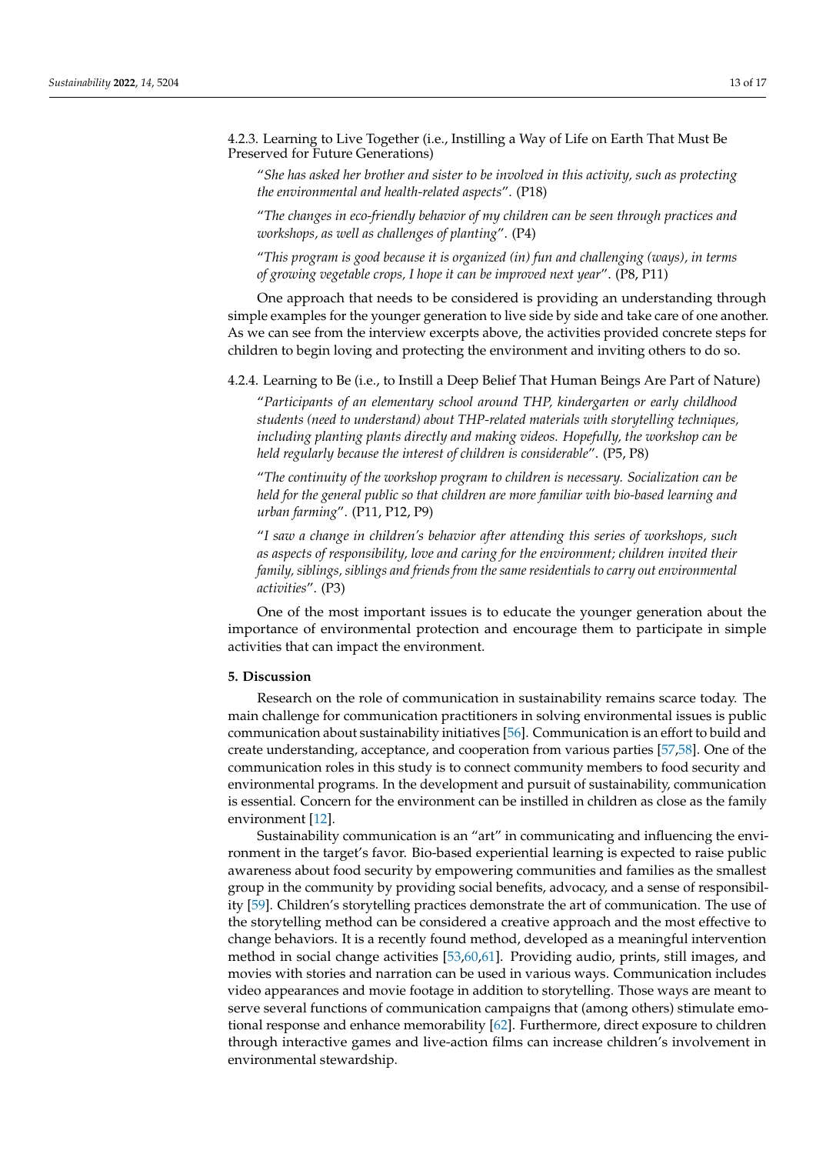4.2.3. Learning to Live Together (i.e., Instilling a Way of Life on Earth That Must Be Preserved for Future Generations)

"*She has asked her brother and sister to be involved in this activity, such as protecting the environmental and health-related aspects*". (P18)

"*The changes in eco-friendly behavior of my children can be seen through practices and workshops, as well as challenges of planting*". (P4)

"*This program is good because it is organized (in) fun and challenging (ways), in terms of growing vegetable crops, I hope it can be improved next year*". (P8, P11)

One approach that needs to be considered is providing an understanding through simple examples for the younger generation to live side by side and take care of one another. As we can see from the interview excerpts above, the activities provided concrete steps for children to begin loving and protecting the environment and inviting others to do so.

4.2.4. Learning to Be (i.e., to Instill a Deep Belief That Human Beings Are Part of Nature)

"*Participants of an elementary school around THP, kindergarten or early childhood students (need to understand) about THP-related materials with storytelling techniques, including planting plants directly and making videos. Hopefully, the workshop can be held regularly because the interest of children is considerable*". (P5, P8)

"*The continuity of the workshop program to children is necessary. Socialization can be held for the general public so that children are more familiar with bio-based learning and urban farming*". (P11, P12, P9)

"*I saw a change in children's behavior after attending this series of workshops, such as aspects of responsibility, love and caring for the environment; children invited their family, siblings, siblings and friends from the same residentials to carry out environmental activities*". (P3)

One of the most important issues is to educate the younger generation about the importance of environmental protection and encourage them to participate in simple activities that can impact the environment.

#### **5. Discussion**

Research on the role of communication in sustainability remains scarce today. The main challenge for communication practitioners in solving environmental issues is public communication about sustainability initiatives [\[56\]](#page-16-8). Communication is an effort to build and create understanding, acceptance, and cooperation from various parties [\[57,](#page-16-9)[58\]](#page-16-10). One of the communication roles in this study is to connect community members to food security and environmental programs. In the development and pursuit of sustainability, communication is essential. Concern for the environment can be instilled in children as close as the family environment [\[12\]](#page-14-11).

Sustainability communication is an "art" in communicating and influencing the environment in the target's favor. Bio-based experiential learning is expected to raise public awareness about food security by empowering communities and families as the smallest group in the community by providing social benefits, advocacy, and a sense of responsibility [\[59\]](#page-16-11). Children's storytelling practices demonstrate the art of communication. The use of the storytelling method can be considered a creative approach and the most effective to change behaviors. It is a recently found method, developed as a meaningful intervention method in social change activities [\[53](#page-16-6)[,60,](#page-16-12)[61\]](#page-16-13). Providing audio, prints, still images, and movies with stories and narration can be used in various ways. Communication includes video appearances and movie footage in addition to storytelling. Those ways are meant to serve several functions of communication campaigns that (among others) stimulate emotional response and enhance memorability [\[62\]](#page-16-14). Furthermore, direct exposure to children through interactive games and live-action films can increase children's involvement in environmental stewardship.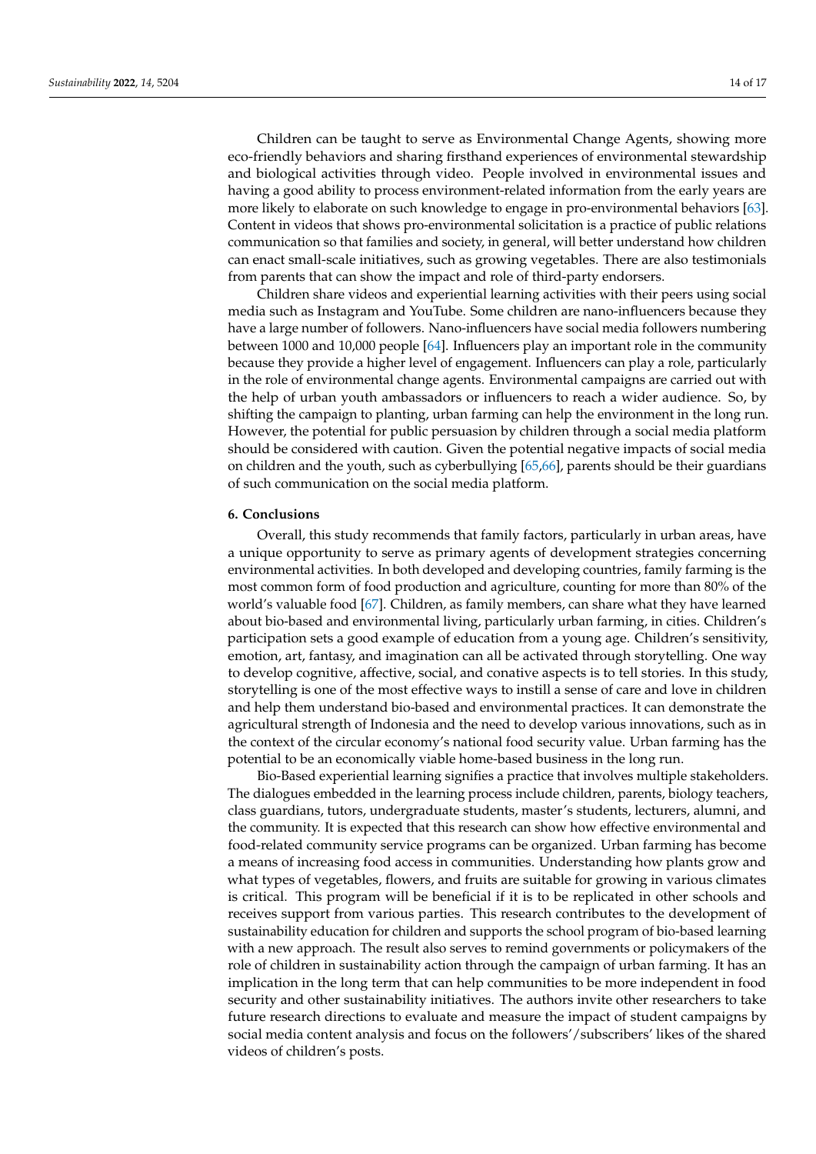Children can be taught to serve as Environmental Change Agents, showing more eco-friendly behaviors and sharing firsthand experiences of environmental stewardship and biological activities through video. People involved in environmental issues and having a good ability to process environment-related information from the early years are more likely to elaborate on such knowledge to engage in pro-environmental behaviors [\[63\]](#page-16-15). Content in videos that shows pro-environmental solicitation is a practice of public relations communication so that families and society, in general, will better understand how children can enact small-scale initiatives, such as growing vegetables. There are also testimonials from parents that can show the impact and role of third-party endorsers.

Children share videos and experiential learning activities with their peers using social media such as Instagram and YouTube. Some children are nano-influencers because they have a large number of followers. Nano-influencers have social media followers numbering between 1000 and 10,000 people [\[64\]](#page-16-16). Influencers play an important role in the community because they provide a higher level of engagement. Influencers can play a role, particularly in the role of environmental change agents. Environmental campaigns are carried out with the help of urban youth ambassadors or influencers to reach a wider audience. So, by shifting the campaign to planting, urban farming can help the environment in the long run. However, the potential for public persuasion by children through a social media platform should be considered with caution. Given the potential negative impacts of social media on children and the youth, such as cyberbullying [\[65,](#page-16-17)[66\]](#page-16-18), parents should be their guardians of such communication on the social media platform.

# **6. Conclusions**

Overall, this study recommends that family factors, particularly in urban areas, have a unique opportunity to serve as primary agents of development strategies concerning environmental activities. In both developed and developing countries, family farming is the most common form of food production and agriculture, counting for more than 80% of the world's valuable food [\[67\]](#page-16-19). Children, as family members, can share what they have learned about bio-based and environmental living, particularly urban farming, in cities. Children's participation sets a good example of education from a young age. Children's sensitivity, emotion, art, fantasy, and imagination can all be activated through storytelling. One way to develop cognitive, affective, social, and conative aspects is to tell stories. In this study, storytelling is one of the most effective ways to instill a sense of care and love in children and help them understand bio-based and environmental practices. It can demonstrate the agricultural strength of Indonesia and the need to develop various innovations, such as in the context of the circular economy's national food security value. Urban farming has the potential to be an economically viable home-based business in the long run.

Bio-Based experiential learning signifies a practice that involves multiple stakeholders. The dialogues embedded in the learning process include children, parents, biology teachers, class guardians, tutors, undergraduate students, master's students, lecturers, alumni, and the community. It is expected that this research can show how effective environmental and food-related community service programs can be organized. Urban farming has become a means of increasing food access in communities. Understanding how plants grow and what types of vegetables, flowers, and fruits are suitable for growing in various climates is critical. This program will be beneficial if it is to be replicated in other schools and receives support from various parties. This research contributes to the development of sustainability education for children and supports the school program of bio-based learning with a new approach. The result also serves to remind governments or policymakers of the role of children in sustainability action through the campaign of urban farming. It has an implication in the long term that can help communities to be more independent in food security and other sustainability initiatives. The authors invite other researchers to take future research directions to evaluate and measure the impact of student campaigns by social media content analysis and focus on the followers'/subscribers' likes of the shared videos of children's posts.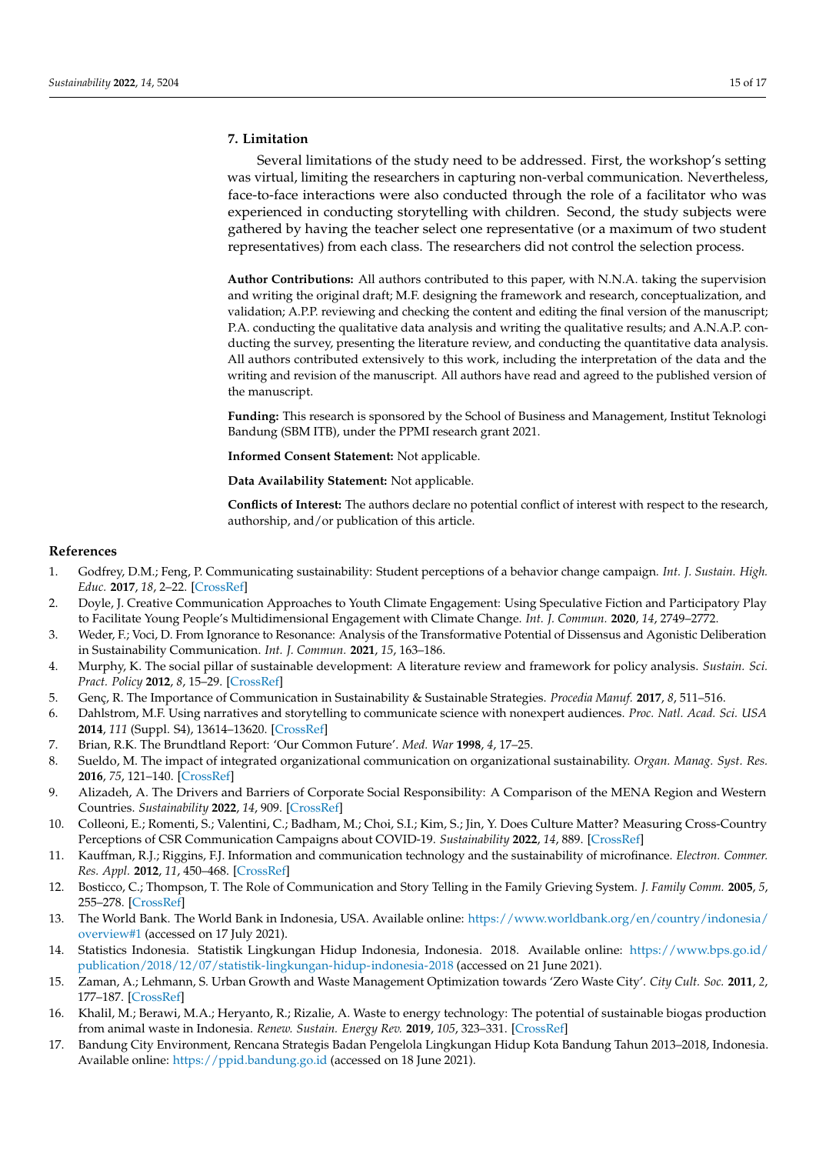# **7. Limitation**

Several limitations of the study need to be addressed. First, the workshop's setting was virtual, limiting the researchers in capturing non-verbal communication. Nevertheless, face-to-face interactions were also conducted through the role of a facilitator who was experienced in conducting storytelling with children. Second, the study subjects were gathered by having the teacher select one representative (or a maximum of two student representatives) from each class. The researchers did not control the selection process.

**Author Contributions:** All authors contributed to this paper, with N.N.A. taking the supervision and writing the original draft; M.F. designing the framework and research, conceptualization, and validation; A.P.P. reviewing and checking the content and editing the final version of the manuscript; P.A. conducting the qualitative data analysis and writing the qualitative results; and A.N.A.P. conducting the survey, presenting the literature review, and conducting the quantitative data analysis. All authors contributed extensively to this work, including the interpretation of the data and the writing and revision of the manuscript. All authors have read and agreed to the published version of the manuscript.

**Funding:** This research is sponsored by the School of Business and Management, Institut Teknologi Bandung (SBM ITB), under the PPMI research grant 2021.

**Informed Consent Statement:** Not applicable.

**Data Availability Statement:** Not applicable.

**Conflicts of Interest:** The authors declare no potential conflict of interest with respect to the research, authorship, and/or publication of this article.

## **References**

- <span id="page-14-0"></span>1. Godfrey, D.M.; Feng, P. Communicating sustainability: Student perceptions of a behavior change campaign. *Int. J. Sustain. High. Educ.* **2017**, *18*, 2–22. [\[CrossRef\]](http://doi.org/10.1108/IJSHE-01-2015-0009)
- <span id="page-14-1"></span>2. Doyle, J. Creative Communication Approaches to Youth Climate Engagement: Using Speculative Fiction and Participatory Play to Facilitate Young People's Multidimensional Engagement with Climate Change. *Int. J. Commun.* **2020**, *14*, 2749–2772.
- <span id="page-14-2"></span>3. Weder, F.; Voci, D. From Ignorance to Resonance: Analysis of the Transformative Potential of Dissensus and Agonistic Deliberation in Sustainability Communication. *Int. J. Commun.* **2021**, *15*, 163–186.
- <span id="page-14-3"></span>4. Murphy, K. The social pillar of sustainable development: A literature review and framework for policy analysis. *Sustain. Sci. Pract. Policy* **2012**, *8*, 15–29. [\[CrossRef\]](http://doi.org/10.1080/15487733.2012.11908081)
- <span id="page-14-4"></span>5. Genç, R. The Importance of Communication in Sustainability & Sustainable Strategies. *Procedia Manuf.* **2017**, *8*, 511–516.
- <span id="page-14-5"></span>6. Dahlstrom, M.F. Using narratives and storytelling to communicate science with nonexpert audiences. *Proc. Natl. Acad. Sci. USA* **2014**, *111* (Suppl. S4), 13614–13620. [\[CrossRef\]](http://doi.org/10.1073/pnas.1320645111)
- <span id="page-14-6"></span>7. Brian, R.K. The Brundtland Report: 'Our Common Future'. *Med. War* **1998**, *4*, 17–25.
- <span id="page-14-7"></span>8. Sueldo, M. The impact of integrated organizational communication on organizational sustainability. *Organ. Manag. Syst. Res.* **2016**, *75*, 121–140. [\[CrossRef\]](http://doi.org/10.7220/MOSR.2335.8750.2016.75.9)
- <span id="page-14-8"></span>9. Alizadeh, A. The Drivers and Barriers of Corporate Social Responsibility: A Comparison of the MENA Region and Western Countries. *Sustainability* **2022**, *14*, 909. [\[CrossRef\]](http://doi.org/10.3390/su14020909)
- <span id="page-14-9"></span>10. Colleoni, E.; Romenti, S.; Valentini, C.; Badham, M.; Choi, S.I.; Kim, S.; Jin, Y. Does Culture Matter? Measuring Cross-Country Perceptions of CSR Communication Campaigns about COVID-19. *Sustainability* **2022**, *14*, 889. [\[CrossRef\]](http://doi.org/10.3390/su14020889)
- <span id="page-14-10"></span>11. Kauffman, R.J.; Riggins, F.J. Information and communication technology and the sustainability of microfinance. *Electron. Commer. Res. Appl.* **2012**, *11*, 450–468. [\[CrossRef\]](http://doi.org/10.1016/j.elerap.2012.03.001)
- <span id="page-14-11"></span>12. Bosticco, C.; Thompson, T. The Role of Communication and Story Telling in the Family Grieving System. *J. Family Comm.* **2005**, *5*, 255–278. [\[CrossRef\]](http://doi.org/10.1207/s15327698jfc0504_2)
- <span id="page-14-12"></span>13. The World Bank. The World Bank in Indonesia, USA. Available online: [https://www.worldbank.org/en/country/indonesia/](https://www.worldbank.org/en/country/indonesia/overview#1) [overview#1](https://www.worldbank.org/en/country/indonesia/overview#1) (accessed on 17 July 2021).
- <span id="page-14-13"></span>14. Statistics Indonesia. Statistik Lingkungan Hidup Indonesia, Indonesia. 2018. Available online: [https://www.bps.go.id/](https://www.bps.go.id/publication/2018/12/07/statistik-lingkungan-hidup-indonesia-2018) [publication/2018/12/07/statistik-lingkungan-hidup-indonesia-2018](https://www.bps.go.id/publication/2018/12/07/statistik-lingkungan-hidup-indonesia-2018) (accessed on 21 June 2021).
- <span id="page-14-14"></span>15. Zaman, A.; Lehmann, S. Urban Growth and Waste Management Optimization towards 'Zero Waste City'. *City Cult. Soc.* **2011**, *2*, 177–187. [\[CrossRef\]](http://doi.org/10.1016/j.ccs.2011.11.007)
- <span id="page-14-15"></span>16. Khalil, M.; Berawi, M.A.; Heryanto, R.; Rizalie, A. Waste to energy technology: The potential of sustainable biogas production from animal waste in Indonesia. *Renew. Sustain. Energy Rev.* **2019**, *105*, 323–331. [\[CrossRef\]](http://doi.org/10.1016/j.rser.2019.02.011)
- <span id="page-14-16"></span>17. Bandung City Environment, Rencana Strategis Badan Pengelola Lingkungan Hidup Kota Bandung Tahun 2013–2018, Indonesia. Available online: <https://ppid.bandung.go.id> (accessed on 18 June 2021).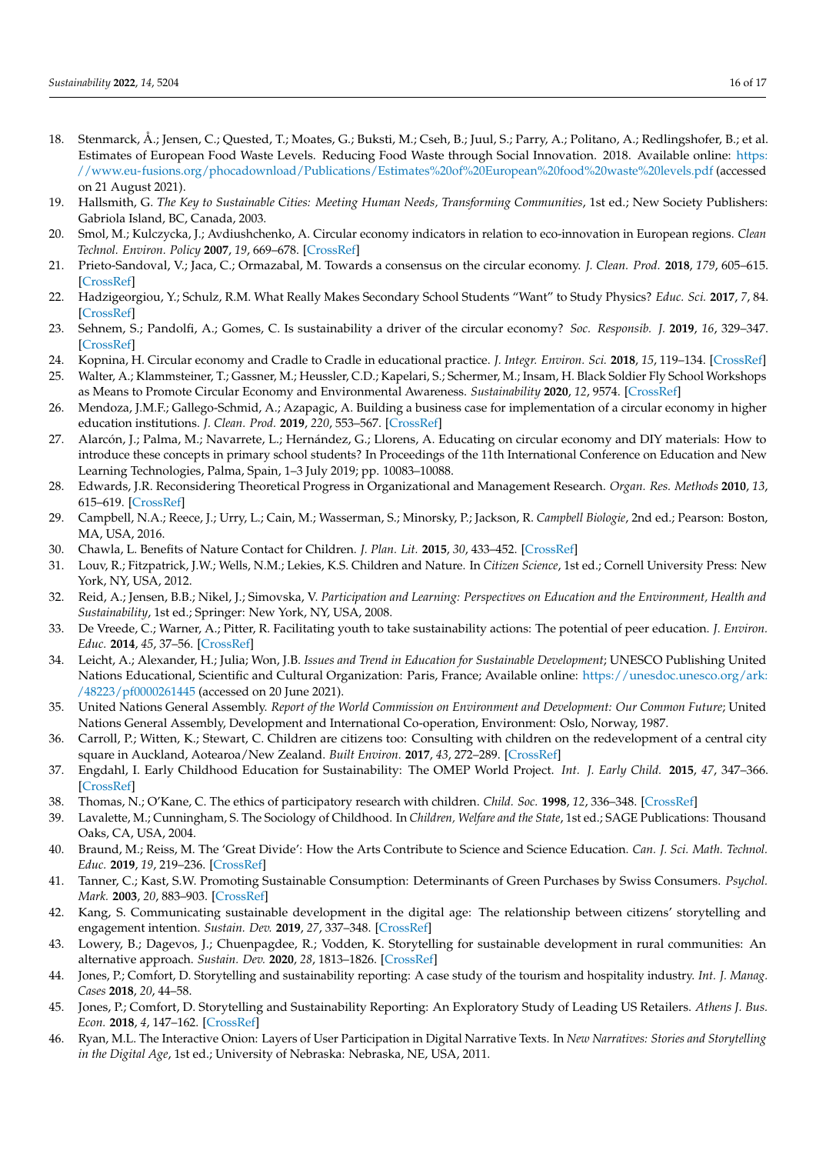- <span id="page-15-0"></span>18. Stenmarck, Å.; Jensen, C.; Quested, T.; Moates, G.; Buksti, M.; Cseh, B.; Juul, S.; Parry, A.; Politano, A.; Redlingshofer, B.; et al. Estimates of European Food Waste Levels. Reducing Food Waste through Social Innovation. 2018. Available online: [https:](https://www.eu-fusions.org/phocadownload/Publications/Estimates%20of%20European%20food%20waste%20levels.pdf) [//www.eu-fusions.org/phocadownload/Publications/Estimates%20of%20European%20food%20waste%20levels.pdf](https://www.eu-fusions.org/phocadownload/Publications/Estimates%20of%20European%20food%20waste%20levels.pdf) (accessed on 21 August 2021).
- <span id="page-15-1"></span>19. Hallsmith, G. *The Key to Sustainable Cities: Meeting Human Needs, Transforming Communities*, 1st ed.; New Society Publishers: Gabriola Island, BC, Canada, 2003.
- <span id="page-15-2"></span>20. Smol, M.; Kulczycka, J.; Avdiushchenko, A. Circular economy indicators in relation to eco-innovation in European regions. *Clean Technol. Environ. Policy* **2007**, *19*, 669–678. [\[CrossRef\]](http://doi.org/10.1007/s10098-016-1323-8)
- <span id="page-15-3"></span>21. Prieto-Sandoval, V.; Jaca, C.; Ormazabal, M. Towards a consensus on the circular economy. *J. Clean. Prod.* **2018**, *179*, 605–615. [\[CrossRef\]](http://doi.org/10.1016/j.jclepro.2017.12.224)
- <span id="page-15-4"></span>22. Hadzigeorgiou, Y.; Schulz, R.M. What Really Makes Secondary School Students "Want" to Study Physics? *Educ. Sci.* **2017**, *7*, 84. [\[CrossRef\]](http://doi.org/10.3390/educsci7040084)
- <span id="page-15-5"></span>23. Sehnem, S.; Pandolfi, A.; Gomes, C. Is sustainability a driver of the circular economy? *Soc. Responsib. J.* **2019**, *16*, 329–347. [\[CrossRef\]](http://doi.org/10.1108/SRJ-06-2018-0146)
- <span id="page-15-6"></span>24. Kopnina, H. Circular economy and Cradle to Cradle in educational practice. *J. Integr. Environ. Sci.* **2018**, *15*, 119–134. [\[CrossRef\]](http://doi.org/10.1080/1943815X.2018.1471724)
- <span id="page-15-7"></span>25. Walter, A.; Klammsteiner, T.; Gassner, M.; Heussler, C.D.; Kapelari, S.; Schermer, M.; Insam, H. Black Soldier Fly School Workshops as Means to Promote Circular Economy and Environmental Awareness. *Sustainability* **2020**, *12*, 9574. [\[CrossRef\]](http://doi.org/10.3390/su12229574)
- <span id="page-15-8"></span>26. Mendoza, J.M.F.; Gallego-Schmid, A.; Azapagic, A. Building a business case for implementation of a circular economy in higher education institutions. *J. Clean. Prod.* **2019**, *220*, 553–567. [\[CrossRef\]](http://doi.org/10.1016/j.jclepro.2019.02.045)
- <span id="page-15-9"></span>27. Alarcón, J.; Palma, M.; Navarrete, L.; Hernández, G.; Llorens, A. Educating on circular economy and DIY materials: How to introduce these concepts in primary school students? In Proceedings of the 11th International Conference on Education and New Learning Technologies, Palma, Spain, 1–3 July 2019; pp. 10083–10088.
- <span id="page-15-10"></span>28. Edwards, J.R. Reconsidering Theoretical Progress in Organizational and Management Research. *Organ. Res. Methods* **2010**, *13*, 615–619. [\[CrossRef\]](http://doi.org/10.1177/1094428110380468)
- 29. Campbell, N.A.; Reece, J.; Urry, L.; Cain, M.; Wasserman, S.; Minorsky, P.; Jackson, R. *Campbell Biologie*, 2nd ed.; Pearson: Boston, MA, USA, 2016.
- <span id="page-15-11"></span>30. Chawla, L. Benefits of Nature Contact for Children. *J. Plan. Lit.* **2015**, *30*, 433–452. [\[CrossRef\]](http://doi.org/10.1177/0885412215595441)
- <span id="page-15-12"></span>31. Louv, R.; Fitzpatrick, J.W.; Wells, N.M.; Lekies, K.S. Children and Nature. In *Citizen Science*, 1st ed.; Cornell University Press: New York, NY, USA, 2012.
- <span id="page-15-13"></span>32. Reid, A.; Jensen, B.B.; Nikel, J.; Simovska, V. *Participation and Learning: Perspectives on Education and the Environment, Health and Sustainability*, 1st ed.; Springer: New York, NY, USA, 2008.
- <span id="page-15-14"></span>33. De Vreede, C.; Warner, A.; Pitter, R. Facilitating youth to take sustainability actions: The potential of peer education. *J. Environ. Educ.* **2014**, *45*, 37–56. [\[CrossRef\]](http://doi.org/10.1080/00958964.2013.805710)
- <span id="page-15-15"></span>34. Leicht, A.; Alexander, H.; Julia; Won, J.B. *Issues and Trend in Education for Sustainable Development*; UNESCO Publishing United Nations Educational, Scientific and Cultural Organization: Paris, France; Available online: [https://unesdoc.unesco.org/ark:](https://unesdoc.unesco.org/ark:/48223/pf0000261445) [/48223/pf0000261445](https://unesdoc.unesco.org/ark:/48223/pf0000261445) (accessed on 20 June 2021).
- <span id="page-15-16"></span>35. United Nations General Assembly. *Report of the World Commission on Environment and Development: Our Common Future*; United Nations General Assembly, Development and International Co-operation, Environment: Oslo, Norway, 1987.
- <span id="page-15-17"></span>36. Carroll, P.; Witten, K.; Stewart, C. Children are citizens too: Consulting with children on the redevelopment of a central city square in Auckland, Aotearoa/New Zealand. *Built Environ.* **2017**, *43*, 272–289. [\[CrossRef\]](http://doi.org/10.2148/benv.43.2.272)
- <span id="page-15-18"></span>37. Engdahl, I. Early Childhood Education for Sustainability: The OMEP World Project. *Int. J. Early Child.* **2015**, *47*, 347–366. [\[CrossRef\]](http://doi.org/10.1007/s13158-015-0149-6)
- <span id="page-15-19"></span>38. Thomas, N.; O'Kane, C. The ethics of participatory research with children. *Child. Soc.* **1998**, *12*, 336–348. [\[CrossRef\]](http://doi.org/10.1111/j.1099-0860.1998.tb00090.x)
- <span id="page-15-20"></span>39. Lavalette, M.; Cunningham, S. The Sociology of Childhood. In *Children, Welfare and the State*, 1st ed.; SAGE Publications: Thousand Oaks, CA, USA, 2004.
- <span id="page-15-21"></span>40. Braund, M.; Reiss, M. The 'Great Divide': How the Arts Contribute to Science and Science Education. *Can. J. Sci. Math. Technol. Educ.* **2019**, *19*, 219–236. [\[CrossRef\]](http://doi.org/10.1007/s42330-019-00057-7)
- <span id="page-15-22"></span>41. Tanner, C.; Kast, S.W. Promoting Sustainable Consumption: Determinants of Green Purchases by Swiss Consumers. *Psychol. Mark.* **2003**, *20*, 883–903. [\[CrossRef\]](http://doi.org/10.1002/mar.10101)
- <span id="page-15-23"></span>42. Kang, S. Communicating sustainable development in the digital age: The relationship between citizens' storytelling and engagement intention. *Sustain. Dev.* **2019**, *27*, 337–348. [\[CrossRef\]](http://doi.org/10.1002/sd.1905)
- <span id="page-15-24"></span>43. Lowery, B.; Dagevos, J.; Chuenpagdee, R.; Vodden, K. Storytelling for sustainable development in rural communities: An alternative approach. *Sustain. Dev.* **2020**, *28*, 1813–1826. [\[CrossRef\]](http://doi.org/10.1002/sd.2124)
- <span id="page-15-25"></span>44. Jones, P.; Comfort, D. Storytelling and sustainability reporting: A case study of the tourism and hospitality industry. *Int. J. Manag. Cases* **2018**, *20*, 44–58.
- <span id="page-15-26"></span>45. Jones, P.; Comfort, D. Storytelling and Sustainability Reporting: An Exploratory Study of Leading US Retailers. *Athens J. Bus. Econ.* **2018**, *4*, 147–162. [\[CrossRef\]](http://doi.org/10.30958/ajbe.4.2.2)
- <span id="page-15-27"></span>46. Ryan, M.L. The Interactive Onion: Layers of User Participation in Digital Narrative Texts. In *New Narratives: Stories and Storytelling in the Digital Age*, 1st ed.; University of Nebraska: Nebraska, NE, USA, 2011.